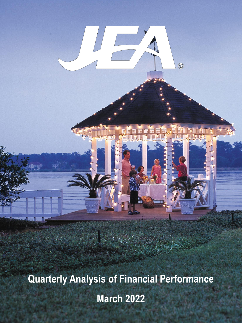**Quarterly Analysis of Financial Performance March 2022**

 $\frac{1}{2}$ 

0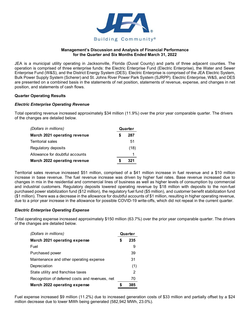

## **Management's Discussion and Analysis of Financial Performance for the Quarter and Six Months Ended March 31, 2022**

JEA is a municipal utility operating in Jacksonville, Florida (Duval County) and parts of three adjacent counties. The operation is comprised of three enterprise funds: the Electric Enterprise Fund (Electric Enterprise), the Water and Sewer Enterprise Fund (W&S), and the District Energy System (DES). Electric Enterprise is comprised of the JEA Electric System, Bulk Power Supply System (Scherer) and St. Johns River Power Park System (SJRPP). Electric Enterprise, W&S, and DES are presented on a combined basis in the statements of net position, statements of revenue, expense, and changes in net position, and statements of cash flows.

## **Quarter Operating Results**

## *Electric Enterprise Operating Revenue*

Total operating revenue increased approximately \$34 million (11.9%) over the prior year comparable quarter. The drivers of the changes are detailed below.

| (Dollars in millions)           | Quarter |      |
|---------------------------------|---------|------|
| March 2021 operating revenue    | S       | 287  |
| Territorial sales               |         | 51   |
| Regulatory deposits             |         | (18) |
| Allowance for doubtful accounts |         | 1    |
| March 2022 operating revenue    |         | 321  |

Territorial sales revenue increased \$51 million, comprised of a \$41 million increase in fuel revenue and a \$10 million increase in base revenue. The fuel revenue increase was driven by higher fuel rates. Base revenue increased due to changes in mix in the residential and commercial lines of business as well as higher levels of consumption by commercial and industrial customers. Regulatory deposits lowered operating revenue by \$18 million with deposits to the non-fuel purchased power stabilization fund (\$12 million), the regulatory fuel fund (\$5 million), and customer benefit stabilization fund (\$1 million). There was a decrease in the allowance for doubtful accounts of \$1 million, resulting in higher operating revenue, due to a prior year increase in the allowance for possible COVID-19 write-offs, which did not repeat in the current quarter.

## *Electric Enterprise Operating Expense*

Total operating expense increased approximately \$150 million (63.7%) over the prior year comparable quarter. The drivers of the changes are detailed below.

| (Dollars in millions)                           | Quarter |     |
|-------------------------------------------------|---------|-----|
| March 2021 operating expense                    | S       | 235 |
| Fuel                                            |         | 9   |
| Purchased power                                 |         | 39  |
| Maintenance and other operating expense         |         | 31  |
| Depreciation                                    |         | (1) |
| State utility and franchise taxes               |         | 2   |
| Recognition of deferred costs and revenues, net |         | 70  |
| March 2022 operating expense                    |         | 385 |

Fuel expense increased \$9 million (11.2%) due to increased generation costs of \$33 million and partially offset by a \$24 million decrease due to lower MWh being generated (582,942 MWh, 23.0%).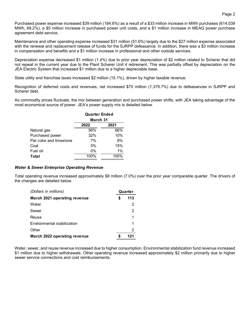Purchased power expense increased \$39 million (184.6%) as a result of a \$33 million increase in MWh purchases (614,039 MWh, 69.2%), a \$5 million increase in purchased power unit costs, and a \$1 million increase in MEAG power purchase agreement debt service.

Maintenance and other operating expense increased \$31 million (51.6%) largely due to the \$27 million expense associated with the renewal and replacement release of funds for the SJRPP defeasance. In addition, there was a \$3 million increase in compensation and benefits and a \$1 million increase in professional and other outside services.

Depreciation expense decreased \$1 million (1.4%) due to prior year depreciation of \$2 million related to Scherer that did not repeat in the current year due to the Plant Scherer Unit 4 retirement. This was partially offset by depreciation on the JEA Electric System that increased \$1 million due to a higher depreciable base.

State utility and franchise taxes increased \$2 million (15.1%), driven by higher taxable revenue.

Recognition of deferred costs and revenues, net increased \$70 million (1,379.7%) due to defeasances in SJRPP and Scherer debt.

As commodity prices fluctuate, the mix between generation and purchased power shifts, with JEA taking advantage of the most economical source of power. JEA's power supply mix is detailed below.

|                        | <b>Quarter Ended</b> |       |  |  |  |
|------------------------|----------------------|-------|--|--|--|
|                        | March 31             |       |  |  |  |
|                        | 2022<br>2021         |       |  |  |  |
| Natural gas            | 56%                  | 66%   |  |  |  |
| Purchased power        | 32%                  | 10%   |  |  |  |
| Pet coke and limestone | 7%                   | 8%    |  |  |  |
| Coal                   | 5%                   | 15%   |  |  |  |
| Fuel oil               | $0\%$                | $1\%$ |  |  |  |
| Total                  | 100%                 | 100%  |  |  |  |

## *Water & Sewer Enterprise Operating Revenue*

Total operating revenue increased approximately \$8 million (7.0%) over the prior year comparable quarter. The drivers of the changes are detailed below.

| (Dollars in millions)        | Quarter |     |
|------------------------------|---------|-----|
| March 2021 operating revenue | S       | 113 |
| Water                        |         | 2   |
| Sewer                        |         | 2   |
| Reuse                        |         | 1   |
| Environmental stabilization  |         | 1   |
| Other                        |         | 2   |
| March 2022 operating revenue |         | 121 |

Water, sewer, and reuse revenue increased due to higher consumption. Environmental stabilization fund revenue increased \$1 million due to higher withdrawals. Other operating revenue increased approximately \$2 million primarily due to higher sewer service connections and cost reimbursements.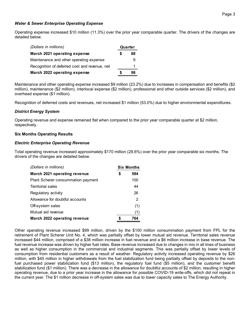## *Water & Sewer Enterprise Operating Expense*

Operating expense increased \$10 million (11.3%) over the prior year comparable quarter. The drivers of the changes are detailed below.

| (Dollars in millions)                         | Quarter |    |
|-----------------------------------------------|---------|----|
| March 2021 operating expense                  | S       | 88 |
| Maintenance and other operating expense       |         | 9  |
| Recognition of deferred cost and revenue, net |         |    |
| March 2022 operating expense                  |         | 98 |

Maintenance and other operating expense increased \$9 million (23.2%) due to increases in compensation and benefits (\$2 million), maintenance (\$2 million), interlocal expense (\$2 million), professional and other outside services (\$2 million), and overhead expense (\$1 million).

Recognition of deferred costs and revenues, net increased \$1 million (53.0%) due to higher environmental expenditures.

## *District Energy System*

Operating revenue and expense remained flat when compared to the prior year comparable quarter at \$2 million, respectively.

## **Six Months Operating Results**

## *Electric Enterprise Operating Revenue*

Total operating revenue increased approximately \$170 million (28.6%) over the prior year comparable six months. The drivers of the changes are detailed below.

| (Dollars in millions)              | <b>Six Months</b> |     |
|------------------------------------|-------------------|-----|
| March 2021 operating revenue       | \$                | 594 |
| Plant Scherer consummation payment |                   | 100 |
| <b>Territorial sales</b>           |                   | 44  |
| Regulatory activity                |                   | 26  |
| Allowance for doubtful accounts    |                   | 2   |
| Off-system sales                   |                   | (1) |
| Mutual aid revenue                 |                   | (1) |
| March 2022 operating revenue       | S                 | 764 |

Other operating revenue increased \$99 million, driven by the \$100 million consummation payment from FPL for the retirement of Plant Scherer Unit No. 4, which was partially offset by lower mutual aid revenue. Territorial sales revenue increased \$44 million, comprised of a \$38 million increase in fuel revenue and a \$6 million increase in base revenue. The fuel revenue increase was driven by higher fuel rates. Base revenue increased due to changes in mix in all lines of business as well as higher consumption in the commercial and industrial segments. This was partially offset by lower levels of consumption from residential customers as a result of weather. Regulatory activity increased operating revenue by \$26 million, with \$45 million in higher withdrawals from the fuel stabilization fund being partially offset by deposits to the nonfuel purchased power stabilization fund (\$13 million), the regulatory fuel fund (\$5 million), and the customer benefit stabilization fund (\$1 million). There was a decrease in the allowance for doubtful accounts of \$2 million, resulting in higher operating revenue, due to a prior year increase in the allowance for possible COVID-19 write-offs, which did not repeat in the current year. The \$1 million decrease in off-system sales was due to lower capacity sales to The Energy Authority.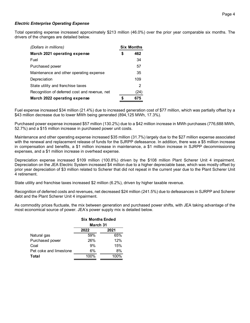### Page 4

## *Electric Enterprise Operating Expense*

Total operating expense increased approximately \$213 million (46.0%) over the prior year comparable six months. The drivers of the changes are detailed below.

| (Dollars in millions)                         | <b>Six Months</b> |      |
|-----------------------------------------------|-------------------|------|
| March 2021 operating expense                  | S                 | 462  |
| Fuel                                          |                   | 34   |
| Purchased power                               |                   | 57   |
| Maintenance and other operating expense       |                   | 35   |
| Depreciation                                  |                   | 109  |
| State utility and franchise taxes             |                   | 2    |
| Recognition of deferred cost and revenue, net |                   | (24) |
| March 2022 operating expense                  |                   | 675  |

Fuel expense increased \$34 million (21.4%) due to increased generation cost of \$77 million, which was partially offset by a \$43 million decrease due to lower MWh being generated (894,125 MWh, 17.3%).

Purchased power expense increased \$57 million (130.2%) due to a \$42 million increase in MWh purchases (776,688 MWh, 52.7%) and a \$15 million increase in purchased power unit costs.

Maintenance and other operating expense increased \$35 million (31.7%) largely due to the \$27 million expense associated with the renewal and replacement release of funds for the SJRPP defeasance. In addition, there was a \$5 million increase in compensation and benefits, a \$1 million increase in maintenance, a \$1 million increase in SJRPP decommissioning expenses, and a \$1 million increase in overhead expense.

Depreciation expense increased \$109 million (100.8%) driven by the \$108 million Plant Scherer Unit 4 impairment. Depreciation on the JEA Electric System increased \$4 million due to a higher depreciable base, which was mostly offset by prior year depreciation of \$3 million related to Scherer that did not repeat in the current year due to the Plant Scherer Unit 4 retirement.

State utility and franchise taxes increased \$2 million (6.2%), driven by higher taxable revenue.

Recognition of deferred costs and revenues, net decreased \$24 million (241.5%) due to defeasances in SJRPP and Scherer debt and the Plant Scherer Unit 4 impairment.

As commodity prices fluctuate, the mix between generation and purchased power shifts, with JEA taking advantage of the most economical source of power. JEA's power supply mix is detailed below.

|                        | <b>Six Months Ended</b><br>March 31 |         |  |  |
|------------------------|-------------------------------------|---------|--|--|
|                        | 2022<br>2021                        |         |  |  |
| Natural gas            | 59%                                 | 65%     |  |  |
| Purchased power        | 26%                                 | 12%     |  |  |
| Coal                   | 9%                                  | 15%     |  |  |
| Pet coke and limestone | 6%                                  | 8%      |  |  |
| Total                  | 100%                                | $100\%$ |  |  |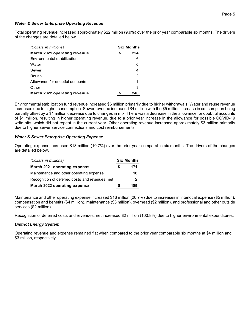## *Water & Sewer Enterprise Operating Revenue*

Total operating revenue increased approximately \$22 million (9.9%) over the prior year comparable six months. The drivers of the changes are detailed below.

| (Dollars in millions)              | <b>Six Months</b> |     |
|------------------------------------|-------------------|-----|
| March 2021 operating revenue       | \$                | 224 |
| <b>Environmental stabilization</b> |                   | 6   |
| Water                              |                   | 6   |
| Sewer                              |                   | 4   |
| Reuse                              |                   | 2   |
| Allowance for doubtful accounts    |                   | 1   |
| Other                              |                   | 3   |
| March 2022 operating revenue       |                   | 246 |

Environmental stabilization fund revenue increased \$6 million primarily due to higher withdrawals. Water and reuse revenue increased due to higher consumption. Sewer revenue increased \$4 million with the \$5 million increase in consumption being partially offset by a \$1 million decrease due to changes in mix. There was a decrease in the allowance for doubtful accounts of \$1 million, resulting in higher operating revenue, due to a prior year increase in the allowance for possible COVID-19 write-offs, which did not repeat in the current year. Other operating revenue increased approximately \$3 million primarily due to higher sewer service connections and cost reimbursements.

## *Water & Sewer Enterprise Operating Expense*

Operating expense increased \$18 million (10.7%) over the prior year comparable six months. The drivers of the changes are detailed below.

| (Dollars in millions)                           | <b>Six Months</b> |     |
|-------------------------------------------------|-------------------|-----|
| March 2021 operating expense                    |                   | 171 |
| Maintenance and other operating expense         |                   | 16  |
| Recognition of deferred costs and revenues, net |                   | 2   |
| March 2022 operating expense                    |                   | 189 |

Maintenance and other operating expense increased \$16 million (20.7%) due to increases in interlocal expense (\$5 million), compensation and benefits (\$4 million), maintenance (\$3 million), overhead (\$2 million), and professional and other outside services (\$2 million).

Recognition of deferred costs and revenues, net increased \$2 million (100.8%) due to higher environmental expenditures.

## *District Energy System*

Operating revenue and expense remained flat when compared to the prior year comparable six months at \$4 million and \$3 million, respectively.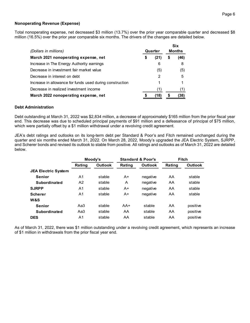## **Nonoperating Revenue (Expense)**

Total nonoperating expense, net decreased \$3 million (13.7%) over the prior year comparable quarter and decreased \$8 million (16.5%) over the prior year comparable six months. The drivers of the changes are detailed below.

| (Dollars in millions)                                    | Quarter    |      | <b>Six</b><br><b>Months</b> |      |
|----------------------------------------------------------|------------|------|-----------------------------|------|
| March 2021 nonoperating expense, net                     | \$<br>(21) |      | \$                          | (46) |
| Increase in The Energy Authority earnings                |            | 6    |                             | 8    |
| Decrease in investment fair market value                 |            | (5)  |                             | (5)  |
| Decrease in interest on debt                             |            | 2    |                             | 5    |
| Increase in allowance for funds used during construction |            |      |                             |      |
| Decrease in realized investment income                   |            | (1)  |                             |      |
| March 2022 nonoperating expense, net                     |            | (18) |                             | (38) |

### **Debt Administration**

Debt outstanding at March 31, 2022 was \$2,834 million, a decrease of approximately \$165 million from the prior fiscal year end. This decrease was due to scheduled principal payments of \$91 million and a defeasance of principal of \$75 million, which were partially offset by a \$1 million withdrawal under a revolving credit agreement.

JEA's debt ratings and outlooks on its long-term debt per Standard & Poor's and Fitch remained unchanged during the quarter and six months ended March 31, 2022. On March 28, 2022, Moody's upgraded the JEA Electric System, SJRPP, and Scherer bonds and revised its outlook to stable from positive. All ratings and outlooks as of March 31, 2022 are detailed below.

|                            | Moody's        |                | <b>Standard &amp; Poor's</b> |          |        | <b>Fitch</b>   |
|----------------------------|----------------|----------------|------------------------------|----------|--------|----------------|
|                            | Rating         | <b>Outlook</b> | Rating                       | Outlook  | Rating | <b>Outlook</b> |
| <b>JEA Electric System</b> |                |                |                              |          |        |                |
| Senior                     | A1             | stable         | $A+$                         | negative | AA     | stable         |
| <b>Subordinated</b>        | A2             | stable         | A                            | negative | AA     | stable         |
| <b>SJRPP</b>               | A1             | stable         | A+                           | negative | AA     | stable         |
| <b>Scherer</b>             | A <sub>1</sub> | stable         | A+                           | negative | AA     | stable         |
| <b>W&amp;S</b>             |                |                |                              |          |        |                |
| Senior                     | Aa3            | stable         | $AA+$                        | stable   | AA     | positive       |
| <b>Subordinated</b>        | Aa3            | stable         | AA                           | stable   | AA     | positive       |
| <b>DES</b>                 | A1             | stable         | AA                           | stable   | AA     | positive       |

As of March 31, 2022, there was \$1 million outstanding under a revolving credit agreement, which represents an increase of \$1 million in withdrawals from the prior fiscal year end.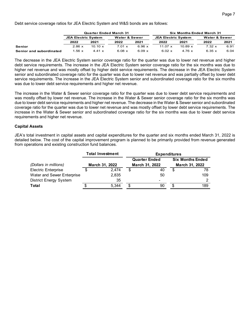Debt service coverage ratios for JEA Electric System and W&S bonds are as follows:

|                         |                            | <b>Quarter Ended March 31</b> |                          |               | <b>Six Months Ended March 31</b> |               |                          |      |  |  |  |  |
|-------------------------|----------------------------|-------------------------------|--------------------------|---------------|----------------------------------|---------------|--------------------------|------|--|--|--|--|
|                         | <b>JEA Electric System</b> |                               | <b>Water &amp; Sewer</b> |               | <b>JEA Electric System</b>       |               | <b>Water &amp; Sewer</b> |      |  |  |  |  |
|                         | 2022                       | 2021                          | 2022                     | 2021          | 2022                             | 2021          | 2022                     | 2021 |  |  |  |  |
| Senior                  | $2.86 \times$              | 10.10 $\times$                | 7.01 x                   | 6.96x         | 11.07 $\times$                   | 10.89 $x$     | $7.32 \times$            | 6.91 |  |  |  |  |
| Senior and subordinated | 1.56x                      | 4.41 $\times$                 | $6.08 \times$            | $6.09 \times$ | $6.02 \times$                    | 4.76 $\times$ | $6.35 \times$            | 6.04 |  |  |  |  |

The decrease in the JEA Electric System senior coverage ratio for the quarter was due to lower net revenue and higher debt service requirements. The increase in the JEA Electric System senior coverage ratio for the six months was due to higher net revenue and was mostly offset by higher debt service requirements. The decrease in the JEA Electric System senior and subordinated coverage ratio for the quarter was due to lower net revenue and was partially offset by lower debt service requirements. The increase in the JEA Electric System senior and subordinated coverage ratio for the six months was due to lower debt service requirements and higher net revenue.

The increase in the Water & Sewer senior coverage ratio for the quarter was due to lower debt service requirements and was mostly offset by lower net revenue. The increase in the Water & Sewer senior coverage ratio for the six months was due to lower debt service requirements and higher net revenue. The decrease in the Water & Sewer senior and subordinated coverage ratio for the quarter was due to lower net revenue and was mostly offset by lower debt service requirements. The increase in the Water & Sewer senior and subordinated coverage ratio for the six months was due to lower debt service requirements and higher net revenue.

## **Capital Assets**

JEA's total investment in capital assets and capital expenditures for the quarter and six months ended March 31, 2022 is detailed below. The cost of the capital improvement program is planned to be primarily provided from revenue generated from operations and existing construction fund balances.

|                               | <b>Total Investment</b> | <b>Expenditures</b> |                                        |                                           |     |  |  |  |  |
|-------------------------------|-------------------------|---------------------|----------------------------------------|-------------------------------------------|-----|--|--|--|--|
| (Dollars in millions)         | March 31, 2022          |                     | <b>Quarter Ended</b><br>March 31, 2022 | <b>Six Months Ended</b><br>March 31, 2022 |     |  |  |  |  |
| <b>Electric Enterprise</b>    | 2.474                   | S                   | 40                                     |                                           | 78. |  |  |  |  |
| Water and Sewer Enterprise    | 2,835                   |                     | 50                                     |                                           | 109 |  |  |  |  |
| <b>District Energy System</b> | 35                      |                     | -                                      |                                           | 2   |  |  |  |  |
| Total                         | 5.344                   | S                   | 90                                     | \$.                                       | 189 |  |  |  |  |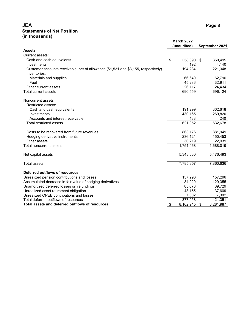## **JEA Page 8 Statements of Net Position (in thousands)**

|                                                                                                    | <b>March 2022</b> |                 |
|----------------------------------------------------------------------------------------------------|-------------------|-----------------|
|                                                                                                    | (unaudited)       | September 2021  |
| <b>Assets</b>                                                                                      |                   |                 |
| Current assets:                                                                                    |                   |                 |
| Cash and cash equivalents                                                                          | \$<br>358,090     | \$<br>350,495   |
| Investments                                                                                        | 192               | 4,140           |
| Customer accounts receivable, net of allowance (\$1,531 and \$3,155, respectively)<br>Inventories: | 194,234           | 221,348         |
| Materials and supplies                                                                             | 66,640            | 62,796          |
| Fuel                                                                                               | 45,286            | 32,911          |
| Other current assets                                                                               | 26,117            | 24,434          |
| <b>Total current assets</b>                                                                        | 690,559           | 696,124         |
| Noncurrent assets:                                                                                 |                   |                 |
| Restricted assets:                                                                                 |                   |                 |
| Cash and cash equivalents<br>Investments                                                           | 191,299           | 362,618         |
|                                                                                                    | 430,165           | 269,820         |
| Accounts and interest receivable<br>Total restricted assets                                        | 488<br>621,952    | 240<br>632,678  |
|                                                                                                    |                   |                 |
| Costs to be recovered from future revenues                                                         | 863,176           | 881,949         |
| Hedging derivative instruments                                                                     | 236,121           | 150,453         |
| Other assets                                                                                       | 30,219            | 22,939          |
| Total noncurrent assets                                                                            | 1,751,468         | 1,688,019       |
| Net capital assets                                                                                 | 5,343,830         | 5,476,493       |
| <b>Total assets</b>                                                                                | 7,785,857         | 7,860,636       |
| Deferred outflows of resources                                                                     |                   |                 |
| Unrealized pension contributions and losses                                                        | 157,296           | 157,296         |
| Accumulated decrease in fair value of hedging derivatives                                          | 84,229            | 129,355         |
| Unamortized deferred losses on refundings                                                          | 85,076            | 89,729          |
| Unrealized asset retirement obligation                                                             | 43,155            | 37,669          |
| Unrealized OPEB contributions and losses                                                           | 7,302             | 7,302           |
| Total deferred outflows of resources                                                               | 377,058           | 421,351         |
| Total assets and deferred outflows of resources                                                    | \$<br>8,162,915   | \$<br>8,281,987 |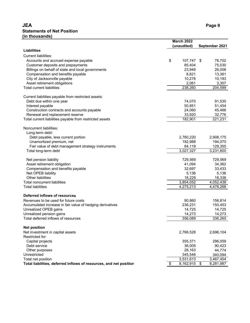## **JEA Page 9 Statements of Net Position (in thousands)**

|                                                                    | <b>March 2022</b> |             |      |                |
|--------------------------------------------------------------------|-------------------|-------------|------|----------------|
|                                                                    |                   | (unaudited) |      | September 2021 |
| <b>Liabilities</b>                                                 |                   |             |      |                |
| <b>Current liabilities:</b>                                        |                   |             |      |                |
| Accounts and accrued expense payable                               | \$                | 107,747     | - \$ | 76,702         |
| Customer deposits and prepayments                                  |                   | 85,404      |      | 75,030         |
| Billings on behalf of state and local governments                  |                   | 23,949      |      | 26,006         |
| Compensation and benefits payable                                  |                   | 8,821       |      | 13,361         |
| City of Jacksonville payable                                       |                   | 10,278      |      | 10,193         |
| Asset retirement obligations                                       |                   | 2,061       |      | 3,307          |
| <b>Total current liabilities</b>                                   |                   | 238,260     |      | 204,599        |
|                                                                    |                   |             |      |                |
| Current liabilities payable from restricted assets:                |                   |             |      |                |
| Debt due within one year                                           |                   | 74,070      |      | 91,535         |
| Interest payable                                                   |                   | 50,851      |      | 51,454         |
| Construction contracts and accounts payable                        |                   | 24,060      |      | 45,466         |
| Renewal and replacement reserve                                    |                   | 33,920      |      | 32,776         |
| Total current liabilities payable from restricted assets           |                   | 182,901     |      | 221,231        |
|                                                                    |                   |             |      |                |
| Noncurrent liabilities:                                            |                   |             |      |                |
| Long-term debt:                                                    |                   |             |      |                |
| Debt payable, less current portion                                 |                   | 2,760,220   |      | 2,908,175      |
| Unamortized premium, net                                           |                   | 182,988     |      | 194,070        |
| Fair value of debt management strategy instruments                 |                   | 84,119      |      | 129,355        |
| Total long-term debt                                               |                   | 3,027,327   |      | 3,231,600      |
|                                                                    |                   |             |      |                |
| Net pension liability                                              |                   | 729,569     |      | 729,569        |
| Asset retirement obligation                                        |                   | 41,094      |      | 34,362         |
| Compensation and benefits payable                                  |                   | 32,697      |      | 33,433         |
| Net OPEB liability                                                 |                   | 5,136       |      | 5,136          |
| <b>Other liabilities</b>                                           |                   | 18,229      |      | 18,338         |
| <b>Total noncurrent liabilities</b>                                |                   | 3,854,052   |      | 4,052,438      |
| <b>Total liabilities</b>                                           |                   | 4,275,213   |      | 4,478,268      |
|                                                                    |                   |             |      |                |
| Deferred inflows of resources                                      |                   |             |      |                |
| Revenues to be used for future costs                               |                   | 90,860      |      | 156,814        |
| Accumulated increase in fair value of hedging derivatives          |                   | 236,231     |      | 150,453        |
| Unrealized OPEB gains                                              |                   | 14,725      |      | 14,725         |
| Unrealized pension gains                                           |                   | 14,273      |      | 14,273         |
| Total deferred inflows of resources                                |                   | 356,089     |      | 336,265        |
|                                                                    |                   |             |      |                |
| <b>Net position</b>                                                |                   |             |      |                |
| Net investment in capital assets                                   |                   | 2,766,528   |      | 2,696,104      |
| Restricted for:                                                    |                   |             |      |                |
| Capital projects                                                   |                   | 355,371     |      | 296,059        |
| Debt service                                                       |                   | 36,005      |      | 90,423         |
| Other purposes                                                     |                   | 28,163      |      | 44,774         |
| Unrestricted                                                       |                   | 345,546     |      | 340,094        |
| Total net position                                                 |                   | 3,531,613   |      | 3,467,454      |
| Total liabilities, deferred inflows of resources, and net position | \$                | 8,162,915   | \$   | 8,281,987      |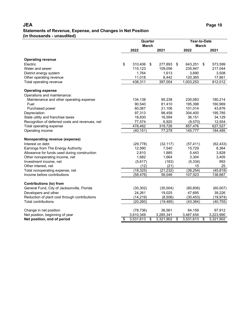## **JEA Page 10 Statements of Revenue, Expense, and Changes in Net Position (in thousands - unaudited)**

|                                                 | Quarter<br><b>March</b> |    |                  |    |                  | Year-to-Date<br><b>March</b> |           |  |  |  |
|-------------------------------------------------|-------------------------|----|------------------|----|------------------|------------------------------|-----------|--|--|--|
|                                                 | 2022                    |    | 2021             |    | 2022             |                              | 2021      |  |  |  |
|                                                 |                         |    |                  |    |                  |                              |           |  |  |  |
| <b>Operating revenue</b><br>Electric            |                         |    |                  |    |                  |                              |           |  |  |  |
|                                                 | \$<br>310,406           | \$ | 277,893          | \$ | 643,251          | \$                           | 573,599   |  |  |  |
| Water and sewer                                 | 115,123                 |    | 109,056          |    | 235,947          |                              | 217,044   |  |  |  |
| District energy system                          | 1,764                   |    | 1,613            |    | 3,690<br>120,365 |                              | 3,508     |  |  |  |
| Other operating revenue                         | 11,018                  |    | 8,442<br>397,004 |    |                  |                              | 17,861    |  |  |  |
| Total operating revenue                         | 438,311                 |    |                  |    | 1,003,253        |                              | 812,012   |  |  |  |
| <b>Operating expense</b>                        |                         |    |                  |    |                  |                              |           |  |  |  |
| Operations and maintenance:                     |                         |    |                  |    |                  |                              |           |  |  |  |
| Maintenance and other operating expense         | 134,138                 |    | 95,238           |    | 230,083          |                              | 180,214   |  |  |  |
| Fuel                                            | 90,540                  |    | 81,410           |    | 195,398          |                              | 160,969   |  |  |  |
| Purchased power                                 | 60,067                  |    | 21,106           |    | 101,014          |                              | 43,876    |  |  |  |
| Depreciation                                    | 97,313                  |    | 98,458           |    | 304,400          |                              | 195,785   |  |  |  |
| State utility and franchise taxes               | 18,830                  |    | 16,594           |    | 36,151           |                              | 34,129    |  |  |  |
| Recognition of deferred costs and revenues, net | 77,574                  |    | 6,920            |    | (9,570)          |                              | 12,554    |  |  |  |
| Total operating expense                         | 478,462                 |    | 319,726          |    | 857,476          |                              | 627,527   |  |  |  |
| Operating income                                | (40, 151)               |    | 77,278           |    | 145,777          |                              | 184,485   |  |  |  |
| Nonoperating revenue (expense)                  |                         |    |                  |    |                  |                              |           |  |  |  |
| Interest on debt                                | (29, 778)               |    | (32, 117)        |    | (57, 411)        |                              | (62, 433) |  |  |  |
| Earnings from The Energy Authority              | 12,590                  |    | 7,540            |    | 15,729           |                              | 8,364     |  |  |  |
| Allowance for funds used during construction    | 2,810                   |    | 1,885            |    | 5,443            |                              | 3,828     |  |  |  |
| Other nonoperating income, net                  | 1,682                   |    | 1,664            |    | 3,304            |                              | 3,405     |  |  |  |
| Investment income, net                          | (5,617)                 |    | (183)            |    | (5, 334)         |                              | 993       |  |  |  |
| Other interest, net                             | (12)                    |    | (21)             |    | 15               |                              | 25        |  |  |  |
| Total nonoperating expense, net                 | (18, 325)               |    | (21, 232)        |    | (38, 254)        |                              | (45, 818) |  |  |  |
| Income before contributions                     | (58, 476)               |    | 56,046           |    | 107,523          |                              | 138,667   |  |  |  |
| <b>Contributions (to) from</b>                  |                         |    |                  |    |                  |                              |           |  |  |  |
| General Fund, City of Jacksonville, Florida     | (30, 302)               |    | (30,004)         |    | (60, 606)        |                              | (60,007)  |  |  |  |
| Developers and other                            | 24,261                  |    | 19,025           |    | 47,695           |                              | 39,226    |  |  |  |
| Reduction of plant cost through contributions   | (14, 219)               |    | (8,506)          |    | (30, 453)        |                              | (19, 974) |  |  |  |
| <b>Total contributions</b>                      | (20, 260)               |    | (19, 485)        |    | (43, 364)        |                              | (40, 755) |  |  |  |
|                                                 |                         |    |                  |    |                  |                              |           |  |  |  |
| Change in net position                          | (78, 736)               |    | 36,561           |    | 64.159           |                              | 97,912    |  |  |  |
| Net position, beginning of year                 | 3,610,349               |    | 3,285,341        |    | 3,467,454        |                              | 3,223,990 |  |  |  |
| Net position, end of period                     | \$<br>3,531,613         | \$ | 3,321,902        | \$ | 3,531,613        | \$                           | 3,321,902 |  |  |  |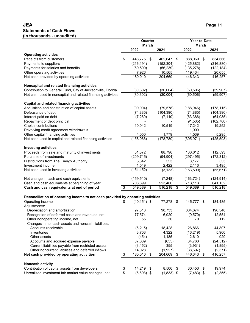## **JEA Page 11 Statements of Cash Flows (in thousands - unaudited)**

|                                                                                 |                      | Quarter |              | Year-to-Date  |               |
|---------------------------------------------------------------------------------|----------------------|---------|--------------|---------------|---------------|
|                                                                                 |                      | March   |              | March         |               |
|                                                                                 | 2022                 |         | 2021         | 2022          | 2021          |
| <b>Operating activities</b>                                                     |                      |         |              |               |               |
| Receipts from customers                                                         | \$<br>448,775        | \$      | 402,647      | \$<br>888,069 | \$<br>834,666 |
| Payments to suppliers                                                           | (216, 191)           |         | (152, 304)   | (425, 882)    | (316, 880)    |
| Payments for salaries and benefits                                              | (60, 500)            |         | (56, 239)    | (135, 278)    | (122, 184)    |
| Other operating activities                                                      | 7,926                |         | 10,565       | 119,434       | 20,655        |
| Net cash provided by operating activities                                       | 180,010              |         | 204,669      | 446,343       | 416,257       |
| Noncapital and related financing activities                                     |                      |         |              |               |               |
| Contribution to General Fund, City of Jacksonville, Florida                     | (30, 302)            |         | (30,004)     | (60, 506)     | (59, 907)     |
| Net cash used in noncapital and related financing activities                    | (30, 302)            |         | (30,004)     | (60, 506)     | (59, 907)     |
| Capital and related financing activities                                        |                      |         |              |               |               |
| Acquisition and construction of capital assets                                  | (90,004)             |         | (79, 578)    | (188, 946)    | (178, 115)    |
| Defeasance of debt                                                              | (74, 885)            |         | (104, 390)   | (74, 885)     | (104, 390)    |
| Interest paid on debt                                                           | (7, 269)             |         | (7, 110)     | (63, 386)     | (64, 935)     |
| Repayment of debt principal                                                     |                      |         |              | (91, 535)     | (102, 700)    |
| Capital contributions                                                           | 10,042               |         | 10,519       | 17,242        | 19,252        |
| Revolving credit agreement withdrawals                                          |                      |         |              | 1,000         |               |
| Other capital financing activities                                              | 4,050                |         | 1,779        | 4,539         | 5,295         |
| Net cash used in capital and related financing activities                       | (158,066)            |         | (178, 780)   | (395, 971)    | (425, 593)    |
| <b>Investing activities</b>                                                     |                      |         |              |               |               |
| Proceeds from sale and maturity of investments                                  | 51,372               |         | 88,796       | 133,612       | 112,593       |
| Purchase of investments                                                         | (209, 715)           |         | (94, 904)    | (297, 495)    | (172, 312)    |
| Distributions from The Energy Authority                                         | 5,642                |         | 553          | 8,177         | 553           |
| Investment income                                                               | 1,549                |         | 2,422        | 2,116         | 3,495         |
| Net cash used in investing activities                                           | (151, 152)           |         | (3, 133)     | (153, 590)    | (55, 671)     |
| Net change in cash and cash equivalents                                         | (159, 510)           |         | (7, 248)     | (163, 724)    | (124, 914)    |
| Cash and cash equivalents at beginning of year                                  | 708,899              |         | 523,466      | 713,113       | 641,132       |
| Cash and cash equivalents at end of period                                      | \$<br>549,389        | \$      | 516,218      | \$<br>549,389 | \$<br>516,218 |
| Reconciliation of operating income to net cash provided by operating activities |                      |         |              |               |               |
| Operating income                                                                | \$<br>$(40, 151)$ \$ |         | 77,278       | \$<br>145,777 | \$<br>184,485 |
| Adjustments:                                                                    |                      |         |              |               |               |
| Depreciation and amortization                                                   | 97,313               |         | 98,733       | 304,674       | 196,348       |
| Recognition of deferred costs and revenues, net                                 | 77,574               |         | 6,920        | (9,570)       | 12,554        |
| Other nonoperating income, net                                                  | 55                   |         | 30           | 70            | 112           |
| Changes in noncash assets and noncash liabilities:                              |                      |         |              |               |               |
| Accounts receivable                                                             | (6, 215)             |         | 18,428       | 26,866        | 44,807        |
| Inventories                                                                     | 3,703                |         | 4,322        | (16, 219)     | 5,960         |
| Other assets                                                                    | (454)                |         | 1,185        | 2,610         | 929           |
| Accounts and accrued expense payable                                            | 37,609               |         | (655)        | 34,763        | (24, 512)     |
| Current liabilities payable from restricted assets                              | (3, 452)             |         | 355          | (3,931)       | (1, 855)      |
| Other noncurrent liabilities and deferred inflows                               | 14,028               |         | (1, 927)     | (38, 697)     | (2, 571)      |
| Net cash provided by operating activities                                       | \$<br>180,010        | \$      | 204,669      | \$<br>446,343 | \$<br>416,257 |
| Noncash activity                                                                |                      |         |              |               |               |
| Contribution of capital assets from developers                                  | \$<br>14,219         | \$      | 8,506        | \$<br>30,453  | \$<br>19,974  |
| Unrealized investment fair market value changes, net                            | \$<br>$(6,698)$ \$   |         | $(1,833)$ \$ | $(7,483)$ \$  | (2,355)       |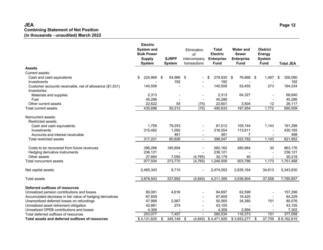#### **JEA Page 12 Combining Statement of Net Position (in thousands - unaudited) March 2022**

|                                                           | <b>Electric</b><br><b>System and</b><br><b>Bulk Power</b><br><b>Supply</b><br><b>System</b> | <b>SJRPP</b><br><b>System</b> | Elimination<br>of<br>intercompany<br>transactions | <b>Total</b><br><b>Electric</b><br><b>Enterprise</b><br><b>Fund</b> | <b>Water and</b><br><b>Sewer</b><br><b>Enterprise</b><br><b>Fund</b> | <b>District</b><br><b>Energy</b><br><b>System</b><br><b>Fund</b> | <b>Total JEA</b> |
|-----------------------------------------------------------|---------------------------------------------------------------------------------------------|-------------------------------|---------------------------------------------------|---------------------------------------------------------------------|----------------------------------------------------------------------|------------------------------------------------------------------|------------------|
| <b>Assets</b>                                             |                                                                                             |                               |                                                   |                                                                     |                                                                      |                                                                  |                  |
| Current assets:                                           |                                                                                             |                               |                                                   |                                                                     |                                                                      |                                                                  |                  |
| Cash and cash equivalents                                 | 224,969<br>\$                                                                               | \$<br>54,966                  | $\sqrt{3}$                                        | 279,935<br>\$                                                       | 76,668 \$<br>\$                                                      | 1,487                                                            | 358,090<br>\$    |
| Investments                                               |                                                                                             | 192                           |                                                   | 192                                                                 |                                                                      |                                                                  | 192              |
| Customer accounts receivable, net of allowance (\$1,531)  | 140,506                                                                                     |                               |                                                   | 140,506                                                             | 53,455                                                               | 273                                                              | 194,234          |
| Inventories:                                              |                                                                                             |                               |                                                   |                                                                     |                                                                      |                                                                  |                  |
| Materials and supplies                                    | 2,313                                                                                       |                               |                                                   | 2,313                                                               | 64,327                                                               |                                                                  | 66,640           |
| Fuel                                                      | 45,286                                                                                      |                               | $\tilde{\phantom{a}}$                             | 45,286                                                              |                                                                      |                                                                  | 45,286           |
| Other current assets                                      | 22,622                                                                                      | 54                            | (75)                                              | 22,601                                                              | 3,504                                                                | 12                                                               | 26,117           |
| <b>Total current assets</b>                               | 435,696                                                                                     | 55,212                        | (75)                                              | 490,833                                                             | 197,954                                                              | 1,772                                                            | 690,559          |
| Noncurrent assets:<br>Restricted assets:                  |                                                                                             |                               |                                                   |                                                                     |                                                                      |                                                                  |                  |
| Cash and cash equivalents                                 | 1,759                                                                                       | 79,253                        |                                                   | 81,012                                                              | 109,144                                                              | 1,143                                                            | 191,299          |
| Investments                                               | 315,462                                                                                     | 1,092                         |                                                   | 316,554                                                             | 113,611                                                              |                                                                  | 430,165          |
| Accounts and interest receivable                          |                                                                                             | 481                           | $\overline{\phantom{a}}$                          | 481                                                                 | 7                                                                    | $\overline{\phantom{a}}$                                         | 488              |
| Total restricted assets                                   | 317,221                                                                                     | 80,826                        | $\blacksquare$                                    | 398,047                                                             | 222,762                                                              | 1,143                                                            | 621,952          |
| Costs to be recovered from future revenues                | 396,268                                                                                     | 185,894                       |                                                   | 582,162                                                             | 280,984                                                              | 30                                                               | 863,176          |
| Hedging derivative instruments                            | 236,121                                                                                     |                               |                                                   | 236,121                                                             |                                                                      |                                                                  | 236,121          |
| Other assets                                              | 27,894                                                                                      | 7,050                         | (4, 765)                                          | 30,179                                                              | 40                                                                   |                                                                  | 30,219           |
| <b>Total noncurrent assets</b>                            | 977,504                                                                                     | 273,770                       | (4, 765)                                          | 1,246,509                                                           | 503,786                                                              | 1,173                                                            | 1,751,468        |
| Net capital assets                                        | 2,465,343                                                                                   | 8,710                         | $\blacksquare$                                    | 2,474,053                                                           | 2,835,164                                                            | 34,613                                                           | 5,343,830        |
| <b>Total assets</b>                                       | 3,878,543                                                                                   | 337,692                       | (4, 840)                                          | 4,211,395                                                           | 3,536,904                                                            | 37,558                                                           | 7,785,857        |
| Deferred outflows of resources                            |                                                                                             |                               |                                                   |                                                                     |                                                                      |                                                                  |                  |
| Unrealized pension contributions and losses               | 90,081                                                                                      | 4,616                         |                                                   | 94,697                                                              | 62,599                                                               |                                                                  | 157,296          |
| Accumulated decrease in fair value of hedging derivatives | 67,809                                                                                      |                               |                                                   | 67,809                                                              | 16,420                                                               | $\sim$                                                           | 84,229           |
| Unamortized deferred losses on refundings                 | 47,998                                                                                      | 2,567                         | $\blacksquare$                                    | 50,565                                                              | 34,360                                                               | 151                                                              | 85,076           |
| Unrealized asset retirement obligation                    | 42,881                                                                                      | 274                           | $\blacksquare$                                    | 43,155                                                              |                                                                      |                                                                  | 43,155           |
| Unrealized OPEB contributions and losses                  | 4,308                                                                                       | $\blacksquare$                | $\blacksquare$                                    | 4,308                                                               | 2,994                                                                | $\overline{\phantom{a}}$                                         | 7,302            |
| Total deferred outflows of resources                      | 253,077                                                                                     | 7,457                         |                                                   | 260,534                                                             | 116,373                                                              | 151                                                              | 377,058          |
| Total assets and deferred outflows of resources           | \$4,131,620                                                                                 | \$<br>345,149                 | \$<br>(4, 840)                                    | \$4,471,929                                                         | \$3,653,277                                                          | 37,709<br>\$                                                     | \$8,162,915      |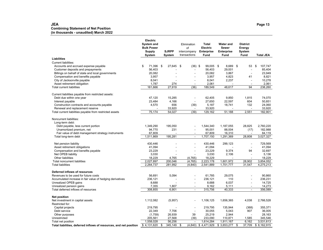#### **JEA Page 13 Combining Statement of Net Position (in thousands - unaudited) March 2022**

|                                                                    | <b>Electric</b><br>System and<br><b>Bulk Power</b><br>Supply<br>System | <b>SJRPP</b><br>System |      | Elimination<br>οf<br>intercompany<br>transactions | <b>Total</b><br><b>Electric</b><br><b>Enterprise</b><br>Fund | <b>Water and</b><br>Sewer<br><b>Enterprise</b><br>Fund |     | <b>District</b><br>Energy<br>System<br>Fund |             | <b>Total JEA</b> |
|--------------------------------------------------------------------|------------------------------------------------------------------------|------------------------|------|---------------------------------------------------|--------------------------------------------------------------|--------------------------------------------------------|-----|---------------------------------------------|-------------|------------------|
| <b>Liabilities</b>                                                 |                                                                        |                        |      |                                                   |                                                              |                                                        |     |                                             |             |                  |
| <b>Current liabilities:</b>                                        |                                                                        |                        |      |                                                   |                                                              |                                                        |     |                                             |             |                  |
| Accounts and accrued expense payable                               | \$<br>71,396                                                           | \$<br>27,645           | - \$ | $(36)$ \$                                         | 99,005 \$                                                    | 8,689                                                  | -\$ | 53                                          | \$          | 107,747          |
| Customer deposits and prepayments                                  | 56,403                                                                 |                        |      |                                                   | 56,403                                                       | 29,001                                                 |     | Ĭ.                                          |             | 85,404           |
| Billings on behalf of state and local governments                  | 20,082                                                                 |                        |      |                                                   | 20,082                                                       | 3,867                                                  |     | $\overline{\phantom{a}}$                    |             | 23,949           |
| Compensation and benefits payable                                  | 3,957                                                                  |                        |      | ÷,                                                | 3,957                                                        | 4,823                                                  |     | 41                                          |             | 8,821            |
| City of Jacksonville payable                                       | 8,041                                                                  |                        |      | $\blacksquare$                                    | 8,041                                                        | 2,237                                                  |     | $\overline{\phantom{a}}$                    |             | 10,278           |
| Asset retirement obligation                                        | 1,787                                                                  | 274                    |      |                                                   | 2,061                                                        |                                                        |     | $\overline{\phantom{a}}$                    |             | 2,061            |
| <b>Total current liabilities</b>                                   | 161,666                                                                | 27,919                 |      | (36)                                              | 189,549                                                      | 48,617                                                 |     | 94                                          |             | 238,260          |
| Current liabilities payable from restricted assets:                |                                                                        |                        |      |                                                   |                                                              |                                                        |     |                                             |             |                  |
| Debt due within one year                                           | 47,120                                                                 | 15,285                 |      | ÷                                                 | 62,405                                                       | 9,850                                                  |     | 1,815                                       |             | 74,070           |
| Interest payable                                                   | 23,484                                                                 | 4,166                  |      | ÷,                                                | 27,650                                                       | 22,597                                                 |     | 604                                         |             | 50,851           |
| Construction contracts and accounts payable                        | 4,570                                                                  | 656                    |      | (39)                                              | 5,187                                                        | 18,741                                                 |     | 132                                         |             | 24,060           |
| Renewal and replacement reserve                                    |                                                                        | 33,920                 |      |                                                   | 33,920                                                       |                                                        |     |                                             |             | 33,920           |
| Total current liabilities payable from restricted assets           | 75,174                                                                 | 54,027                 |      | (39)                                              | 129,162                                                      | 51,188                                                 |     | 2,551                                       |             | 182,901          |
| Noncurrent liabilities:                                            |                                                                        |                        |      |                                                   |                                                              |                                                        |     |                                             |             |                  |
| Long-term debt:                                                    |                                                                        |                        |      |                                                   |                                                              |                                                        |     |                                             |             |                  |
| Debt payable, less current portion                                 | 1.349.290                                                              | 195,050                |      | $\overline{\phantom{a}}$                          | 1,544,340                                                    | 1,187,055                                              |     | 28,825                                      |             | 2,760,220        |
| Unamortized premium, net                                           | 94,770                                                                 | 231                    |      | $\overline{\phantom{a}}$                          | 95,001                                                       | 88,004                                                 |     | (17)                                        |             | 182,988          |
| Fair value of debt management strategy instruments                 | 67,809                                                                 |                        |      |                                                   | 67,809                                                       | 16,310                                                 |     |                                             |             | 84,119           |
| Total long-term debt                                               | 1,511,869                                                              | 195,281                |      | $\blacksquare$                                    | 1,707,150                                                    | 1,291,369                                              |     | 28,808                                      |             | 3,027,327        |
| Net pension liability                                              | 430.446                                                                |                        |      | $\blacksquare$                                    | 430.446                                                      | 299,123                                                |     | $\overline{\phantom{a}}$                    |             | 729.569          |
| Asset retirement obligations                                       | 41,094                                                                 |                        |      | $\blacksquare$                                    | 41,094                                                       |                                                        |     | $\blacksquare$                              |             | 41,094           |
| Compensation and benefits payable                                  | 23,229                                                                 |                        |      |                                                   | 23,229                                                       | 9,374                                                  |     | 94                                          |             | 32,697           |
| Net OPEB liability                                                 | 3,030                                                                  |                        |      | ٠                                                 | 3,030                                                        | 2,106                                                  |     | $\overline{a}$                              |             | 5,136            |
| <b>Other liabilities</b>                                           | 18,229                                                                 | 4,765                  |      | (4,765)                                           | 18,229                                                       |                                                        |     |                                             |             | 18,229           |
| Total noncurrent liabilities                                       | 2,027,897                                                              | 200,046                |      | (4, 765)                                          | 2,223,178                                                    | 1,601,972                                              |     | 28,902                                      |             | 3,854,052        |
| <b>Total liabilities</b>                                           | 2,264,737                                                              | 281,992                |      | (4, 840)                                          | 2,541,889                                                    | 1,701,777                                              |     | 31,547                                      |             | 4,275,213        |
| Deferred inflows of resources                                      |                                                                        |                        |      |                                                   |                                                              |                                                        |     |                                             |             |                  |
| Revenues to be used for future costs                               | 56,691                                                                 | 5,094                  |      | $\blacksquare$                                    | 61,785                                                       | 29,075                                                 |     | ÷,                                          |             | 90,860           |
| Accumulated increase in fair value of hedging derivatives          | 236,121                                                                |                        |      |                                                   | 236,121                                                      | 110                                                    |     |                                             |             | 236,231          |
| Unrealized OPEB gains                                              | 8,688                                                                  |                        |      | $\overline{a}$                                    | 8,688                                                        | 6,037                                                  |     | $\overline{a}$                              |             | 14,725           |
| Unrealized pension gains                                           | 7,355                                                                  | 1,807                  |      | $\overline{a}$                                    | 9,162                                                        | 5,111                                                  |     |                                             |             | 14,273           |
| Total deferred inflows of resources                                | 308,855                                                                | 6,901                  |      | $\mathbf{r}$                                      | 315,756                                                      | 40,333                                                 |     | $\overline{a}$                              |             | 356,089          |
| <b>Net position</b>                                                |                                                                        |                        |      |                                                   |                                                              |                                                        |     |                                             |             |                  |
| Net investment in capital assets                                   | 1,112,082                                                              | (5,957)                |      | $\overline{a}$                                    | 1,106,125                                                    | 1,656,365                                              |     | 4,038                                       |             | 2,766,528        |
| Restricted for:                                                    |                                                                        |                        |      |                                                   |                                                              |                                                        |     |                                             |             |                  |
| Capital projects                                                   | 219,795                                                                |                        |      | $\overline{\phantom{a}}$                          | 219,795                                                      | 135,944                                                |     | (368)                                       |             | 355,371          |
| Debt service                                                       | 22.349                                                                 | 7,706                  |      |                                                   | 30,055                                                       | 5,043                                                  |     | 907                                         |             | 36,005           |
| Other purposes                                                     | (1,759)                                                                | 26,939                 |      | 39                                                | 25,219                                                       | 2,944                                                  |     | $\overline{a}$                              |             | 28,163           |
| Unrestricted                                                       | 205,561                                                                | 27,568                 |      | (39)                                              | 233,090                                                      | 110,871                                                |     | 1,585                                       |             | 345,546          |
| Total net position                                                 | 1,558,028                                                              | 56,256                 |      |                                                   | 1,614,284                                                    | 1,911,167                                              |     | 6,162                                       |             | 3,531,613        |
| Total liabilities, deferred inflows of resources, and net position | \$4,131,620                                                            | \$<br>345,149          | \$   | (4.840)                                           | \$4,471,929                                                  | \$3,653,277                                            | \$  | 37,709                                      | \$8,162,915 |                  |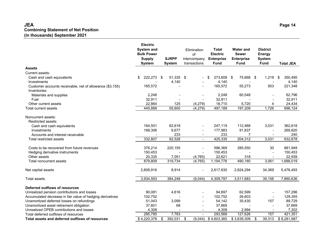#### **JEA Page 14 Combining Statement of Net Position (in thousands) September 2021**

|                                                           | <b>Electric</b><br><b>System and</b><br><b>Bulk Power</b><br><b>Supply</b><br><b>System</b> | <b>SJRPP</b><br><b>System</b> | Elimination<br>of<br>intercompany<br>transactions | <b>Total</b><br><b>Electric</b><br><b>Enterprise</b><br><b>Fund</b> | <b>Water and</b><br><b>Sewer</b><br><b>Enterprise</b><br><b>Fund</b> | <b>District</b><br><b>Energy</b><br><b>System</b><br><b>Fund</b> | <b>Total JEA</b> |
|-----------------------------------------------------------|---------------------------------------------------------------------------------------------|-------------------------------|---------------------------------------------------|---------------------------------------------------------------------|----------------------------------------------------------------------|------------------------------------------------------------------|------------------|
| <b>Assets</b>                                             |                                                                                             |                               |                                                   |                                                                     |                                                                      |                                                                  |                  |
| Current assets:                                           |                                                                                             |                               |                                                   |                                                                     |                                                                      |                                                                  |                  |
| Cash and cash equivalents                                 | 222,273<br>\$                                                                               | \$<br>51,335 \$               |                                                   | 273,608<br>\$                                                       | 75,668 \$<br>- \$                                                    | 1,219                                                            | 350,495<br>\$    |
| Investments                                               |                                                                                             | 4,140                         |                                                   | 4,140                                                               |                                                                      |                                                                  | 4,140            |
| Customer accounts receivable, net of allowance (\$3,155)  | 165,572                                                                                     |                               |                                                   | 165,572                                                             | 55,273                                                               | 503                                                              | 221,348          |
| Inventories:                                              |                                                                                             |                               |                                                   |                                                                     |                                                                      |                                                                  |                  |
| Materials and supplies                                    | 2,248                                                                                       |                               |                                                   | 2,248                                                               | 60,548                                                               |                                                                  | 62,796           |
| Fuel                                                      | 32,911                                                                                      |                               | $\overline{a}$                                    | 32,911                                                              |                                                                      |                                                                  | 32,911           |
| Other current assets                                      | 22,864                                                                                      | 125                           | (4,279)                                           | 18,710                                                              | 5,720                                                                | 4                                                                | 24,434           |
| Total current assets                                      | 445,868                                                                                     | 55,600                        | (4,279)                                           | 497,189                                                             | 197,209                                                              | 1,726                                                            | 696,124          |
| Noncurrent assets:<br>Restricted assets:                  |                                                                                             |                               |                                                   |                                                                     |                                                                      |                                                                  |                  |
| Cash and cash equivalents                                 | 164,501                                                                                     | 82,618                        |                                                   | 247,119                                                             | 112,468                                                              | 3,031                                                            | 362,618          |
| Investments                                               | 168,306                                                                                     | 9,677                         |                                                   | 177,983                                                             | 91,837                                                               |                                                                  | 269,820          |
| Accounts and interest receivable                          |                                                                                             | 233                           | $\blacksquare$                                    | 233                                                                 | 7                                                                    | $\overline{\phantom{a}}$                                         | 240              |
| Total restricted assets                                   | 332,807                                                                                     | 92,528                        | $\blacksquare$                                    | 425,335                                                             | 204,312                                                              | 3,031                                                            | 632,678          |
| Costs to be recovered from future revenues                | 376,214                                                                                     | 220,155                       |                                                   | 596,369                                                             | 285,550                                                              | 30                                                               | 881,949          |
| Hedging derivative instruments                            | 150,453                                                                                     |                               |                                                   | 150,453                                                             |                                                                      |                                                                  | 150,453          |
| Other assets                                              | 20,335                                                                                      | 7,051                         | (4, 765)                                          | 22,621                                                              | 318                                                                  |                                                                  | 22,939           |
| Total noncurrent assets                                   | 879,809                                                                                     | 319,734                       | (4, 765)                                          | 1,194,778                                                           | 490,180                                                              | 3,061                                                            | 1,688,019        |
|                                                           |                                                                                             |                               |                                                   |                                                                     |                                                                      |                                                                  |                  |
| Net capital assets                                        | 2,608,916                                                                                   | 8,914                         | $\blacksquare$                                    | 2,617,830                                                           | 2,824,294                                                            | 34,369                                                           | 5,476,493        |
| <b>Total assets</b>                                       | 3,934,593                                                                                   | 384,248                       | (9,044)                                           | 4,309,797                                                           | 3,511,683                                                            | 39,156                                                           | 7,860,636        |
| Deferred outflows of resources                            |                                                                                             |                               |                                                   |                                                                     |                                                                      |                                                                  |                  |
| Unrealized pension contributions and losses               | 90,081                                                                                      | 4,616                         |                                                   | 94,697                                                              | 62,599                                                               |                                                                  | 157,296          |
| Accumulated decrease in fair value of hedging derivatives | 102,752                                                                                     |                               | $\blacksquare$                                    | 102,752                                                             | 26,603                                                               | $\overline{a}$                                                   | 129,355          |
| Unamortized deferred losses on refundings                 | 51,043                                                                                      | 3,099                         | $\blacksquare$                                    | 54,142                                                              | 35,430                                                               | 157                                                              | 89,729           |
| Unamortized asset retirement obligation                   | 37,601                                                                                      | 68                            | $\blacksquare$                                    | 37,669                                                              |                                                                      |                                                                  | 37,669           |
| Unrealized OPEB contributions and losses                  | 4,308                                                                                       | $\blacksquare$                | $\blacksquare$                                    | 4,308                                                               | 2,994                                                                | $\blacksquare$                                                   | 7,302            |
| Total deferred outflows of resources                      | 285,785                                                                                     | 7,783                         | $\overline{a}$                                    | 293,568                                                             | 127,626                                                              | 157                                                              | 421,351          |
| Total assets and deferred outflows of resources           | \$4,220,378                                                                                 | \$<br>392,031                 | \$<br>(9,044)                                     | \$4,603,365                                                         | \$3,639,309                                                          | 39,313<br>\$                                                     | \$8,281,987      |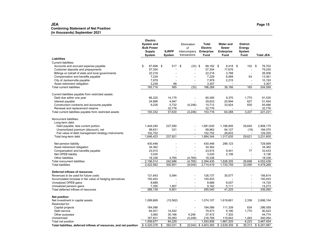#### **JEA Page 15 Combining Statement of Net Position (in thousands) September 2021**

|                                                                    | <b>Electric</b><br>System and<br><b>Bulk Power</b><br>Supply<br>System | <b>SJRPP</b><br>System | Elimination<br>οf<br>intercompany<br>transactions | <b>Total</b><br><b>Electric</b><br><b>Enterprise</b><br>Fund | <b>Water and</b><br>Sewer<br><b>Enterprise</b><br>Fund | <b>District</b><br>Energy<br>System<br>Fund | <b>Total JEA</b> |
|--------------------------------------------------------------------|------------------------------------------------------------------------|------------------------|---------------------------------------------------|--------------------------------------------------------------|--------------------------------------------------------|---------------------------------------------|------------------|
| <b>Liabilities</b>                                                 |                                                                        |                        |                                                   |                                                              |                                                        |                                             |                  |
| <b>Current liabilities:</b>                                        |                                                                        |                        |                                                   |                                                              |                                                        |                                             |                  |
| Accounts and accrued expense payable                               | \$<br>67,698                                                           | \$<br>517              | \$<br>$(33)$ \$                                   | 68,182 \$                                                    | 8,418 \$                                               | 102 \$                                      | 76,702           |
| Customer deposits and prepayments                                  | 57,354                                                                 |                        |                                                   | 57,354                                                       | 17,676                                                 | $\overline{a}$                              | 75,030           |
| Billings on behalf of state and local governments                  | 22,218                                                                 |                        |                                                   | 22,218                                                       | 3,788                                                  | $\overline{a}$                              | 26,006           |
| Compensation and benefits payable                                  | 7,229                                                                  |                        | ÷,                                                | 7,229                                                        | 6,069                                                  | 63                                          | 13,361           |
| City of Jacksonville payable                                       | 7,978                                                                  |                        | $\blacksquare$                                    | 7,978                                                        | 2,215                                                  | $\overline{a}$                              | 10,193           |
| Asset retirement obligation                                        | 3,239                                                                  | 68                     |                                                   | 3,307                                                        |                                                        | $\overline{\phantom{a}}$                    | 3,307            |
| <b>Total current liabilities</b>                                   | 165,716                                                                | 585                    | (33)                                              | 166,268                                                      | 38,166                                                 | 165                                         | 204,599          |
| Current liabilities payable from restricted assets:                |                                                                        |                        |                                                   |                                                              |                                                        |                                             |                  |
| Debt due within one year                                           | 66,220                                                                 | 14,175                 | $\overline{\phantom{a}}$                          | 80,395                                                       | 9,370                                                  | 1,770                                       | 91,535           |
| Interest payable                                                   | 24,886                                                                 | 4,947                  |                                                   | 29,833                                                       | 20,994                                                 | 627                                         | 51,454           |
| Construction contracts and accounts payable                        | 9,226                                                                  | 5,732                  | (4,246)                                           | 10,712                                                       | 33,924                                                 | 830                                         | 45,466           |
| Renewal and replacement reserve                                    |                                                                        | 32,776                 |                                                   | 32,776                                                       |                                                        |                                             | 32,776           |
| Total current liabilities payable from restricted assets           | 100,332                                                                | 57,630                 | (4, 246)                                          | 153,716                                                      | 64,288                                                 | 3,227                                       | 221,231          |
| Noncurrent liabilities:                                            |                                                                        |                        |                                                   |                                                              |                                                        |                                             |                  |
| Long-term debt:                                                    |                                                                        |                        |                                                   |                                                              |                                                        |                                             |                  |
| Debt payable, less current portion                                 | 1,444,040                                                              | 237,590                | $\overline{\phantom{a}}$                          | 1,681,630                                                    | 1,196,905                                              | 29,640                                      | 2,908,175        |
| Unamortized premium (discount), net                                | 99,631                                                                 | 331                    | $\blacksquare$                                    | 99,962                                                       | 94,127                                                 | (19)                                        | 194,070          |
| Fair value of debt management strategy instruments                 | 102,752                                                                |                        |                                                   | 102,752                                                      | 26,603                                                 |                                             | 129,355          |
| Total long-term debt                                               | 1,646,423                                                              | 237,921                | $\blacksquare$                                    | 1,884,344                                                    | 1,317,635                                              | 29,621                                      | 3,231,600        |
| Net pension liability                                              | 430.446                                                                |                        | $\blacksquare$                                    | 430.446                                                      | 299,123                                                | $\overline{a}$                              | 729.569          |
| Asset retirement obligation                                        | 34,362                                                                 |                        | $\blacksquare$                                    | 34,362                                                       |                                                        | $\blacksquare$                              | 34,362           |
| Compensation and benefits payable                                  | 23,915                                                                 |                        |                                                   | 23,915                                                       | 9,441                                                  | 77                                          | 33,433           |
| Net OPEB liability                                                 | 3,030                                                                  |                        |                                                   | 3,030                                                        | 2,106                                                  | $\blacksquare$                              | 5,136            |
| <b>Other liabilities</b>                                           | 18,338                                                                 | 4,765                  | (4, 765)                                          | 18,338                                                       |                                                        |                                             | 18,338           |
| <b>Total noncurrent liabilities</b>                                | 2,156,514                                                              | 242,686                | (4, 765)                                          | 2,394,435                                                    | 1,628,305                                              | 29,698                                      | 4,052,438        |
| <b>Total liabilities</b>                                           | 2,422,562                                                              | 300,901                | (9,044)                                           | 2,714,419                                                    | 1,730,759                                              | 33,090                                      | 4,478,268        |
| Deferred inflows of resources                                      |                                                                        |                        |                                                   |                                                              |                                                        |                                             |                  |
| Revenues to be used for future costs                               | 121,643                                                                | 5,094                  | $\blacksquare$                                    | 126,737                                                      | 30,077                                                 |                                             | 156,814          |
| Accumulated increase in fair value of hedging derivatives          | 150,453                                                                |                        |                                                   | 150,453                                                      |                                                        |                                             | 150,453          |
| Unrealized OPEB gains                                              | 8,688                                                                  |                        | $\overline{\phantom{a}}$                          | 8,688                                                        | 6,037                                                  | $\overline{a}$                              | 14,725           |
| Unrealized pension gains                                           | 7,355                                                                  | 1,807                  | $\overline{a}$                                    | 9,162                                                        | 5,111                                                  |                                             | 14,273           |
| Total deferred inflows of resources                                | 288,139                                                                | 6,901                  | $\mathbf{r}$                                      | 295,040                                                      | 41,225                                                 | $\overline{a}$                              | 336,265          |
| <b>Net position</b>                                                |                                                                        |                        |                                                   |                                                              |                                                        |                                             |                  |
| Net investment in capital assets                                   | 1,089,669                                                              | (15, 562)              | $\overline{a}$                                    | 1,074,107                                                    | 1,619,661                                              | 2,336                                       | 2,696,104        |
| Restricted for:                                                    |                                                                        |                        |                                                   |                                                              |                                                        |                                             |                  |
| Capital projects                                                   | 184,086                                                                |                        | $\overline{\phantom{a}}$                          | 184,086                                                      | 111,339                                                | 634                                         | 296,059          |
| Debt service                                                       | 64,931                                                                 | 14,542                 |                                                   | 79,473                                                       | 9,180                                                  | 1,770                                       | 90.423           |
| Other purposes                                                     | 3,060                                                                  | 30,166                 | 4,246                                             | 37,472                                                       | 7,302                                                  |                                             | 44,774           |
| Unrestricted                                                       | 167,931                                                                | 55,083                 | (4, 246)                                          | 218,768                                                      | 119,843                                                | 1,483                                       | 340,094          |
| Total net position                                                 | 1,509,677                                                              | 84,229                 |                                                   | 1,593,906                                                    | 1,867,325                                              | 6,223                                       | 3,467,454        |
| Total liabilities, deferred inflows of resources, and net position | \$4,220,378                                                            | \$<br>392,031          | \$<br>(9.044)                                     | \$4,603,365                                                  | \$3,639,309                                            | \$<br>39,313                                | \$8,281,987      |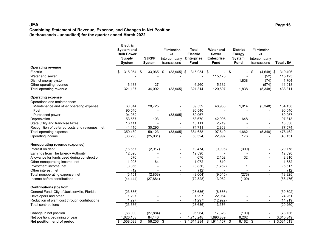#### **JEA Page 16 Combining Statement of Revenue, Expense, and Changes in Net Position (in thousands - unaudited) for the quarter ended March 2022**

|                                                         | <b>Electric</b><br>System and<br><b>Bulk Power</b><br><b>Supply</b><br>System | <b>SJRPP</b><br><b>System</b> | Elimination<br>of<br>intercompany<br>transactions | <b>Total</b><br><b>Electric</b><br><b>Enterprise</b><br><b>Fund</b> | <b>Water and</b><br><b>Sewer</b><br><b>Enterprise</b><br>Fund | <b>District</b><br>Energy<br><b>System</b><br>Fund | Elimination<br>of<br>intercompany<br>transactions | <b>Total JEA</b> |
|---------------------------------------------------------|-------------------------------------------------------------------------------|-------------------------------|---------------------------------------------------|---------------------------------------------------------------------|---------------------------------------------------------------|----------------------------------------------------|---------------------------------------------------|------------------|
| <b>Operating revenue</b>                                |                                                                               |                               |                                                   |                                                                     |                                                               |                                                    |                                                   |                  |
| Electric                                                | \$<br>315,054<br>\$                                                           | 33,965                        | $(33,965)$ \$<br>\$                               | 315,054 \$                                                          | $\sim$                                                        | -\$                                                | $(4,648)$ \$<br>\$                                | 310,406          |
| Water and sewer                                         |                                                                               |                               |                                                   |                                                                     | 115,175                                                       |                                                    | (52)                                              | 115,123          |
| District energy system<br>Other operating revenue       | 6,133                                                                         | 127                           |                                                   | 6,260                                                               | 5,332                                                         | 1,838                                              | (74)<br>(574)                                     | 1,764<br>11,018  |
| Total operating revenue                                 | 321,187                                                                       | 34,092                        | (33,965)                                          | 321,314                                                             | 120,507                                                       | 1,838                                              | (5, 348)                                          | 438,311          |
|                                                         |                                                                               |                               |                                                   |                                                                     |                                                               |                                                    |                                                   |                  |
| <b>Operating expense</b><br>Operations and maintenance: |                                                                               |                               |                                                   |                                                                     |                                                               |                                                    |                                                   |                  |
| Maintenance and other operating expense                 | 60,814                                                                        | 28,725                        |                                                   | 89,539                                                              | 48,933                                                        | 1,014                                              | (5,348)                                           | 134,138          |
| Fuel                                                    | 90,540                                                                        |                               |                                                   | 90,540                                                              |                                                               |                                                    |                                                   | 90,540           |
| Purchased power                                         | 94,032                                                                        | $\overline{\phantom{a}}$      | (33,965)                                          | 60,067                                                              | $\blacksquare$                                                |                                                    | $\blacksquare$                                    | 60,067           |
| Depreciation                                            | 53,567                                                                        | 103                           |                                                   | 53,670                                                              | 42,995                                                        | 648                                                |                                                   | 97,313           |
| State utility and franchise taxes                       | 16,111                                                                        |                               |                                                   | 16,111                                                              | 2,719                                                         |                                                    |                                                   | 18,830           |
| Recognition of deferred costs and revenues, net         | 44,416                                                                        | 30,295                        |                                                   | 74,711                                                              | 2,863                                                         |                                                    |                                                   | 77,574           |
| Total operating expense                                 | 359,480                                                                       | 59,123                        | (33,965)                                          | 384,638                                                             | 97,510                                                        | 1,662                                              | (5, 348)                                          | 478,462          |
| Operating income                                        | (38, 293)                                                                     | (25, 031)                     | $\overline{\phantom{a}}$                          | (63, 324)                                                           | 22,997                                                        | 176                                                | $\overline{\phantom{a}}$                          | (40, 151)        |
| Nonoperating revenue (expense)                          |                                                                               |                               |                                                   |                                                                     |                                                               |                                                    |                                                   |                  |
| Interest on debt                                        | (16, 557)                                                                     | (2, 917)                      |                                                   | (19, 474)                                                           | (9,995)                                                       | (309)                                              |                                                   | (29, 778)        |
| Earnings from The Energy Authority                      | 12,590                                                                        |                               |                                                   | 12,590                                                              |                                                               |                                                    |                                                   | 12,590           |
| Allowance for funds used during construction            | 676                                                                           |                               |                                                   | 676                                                                 | 2,102                                                         | 32                                                 |                                                   | 2,810            |
| Other nonoperating income, net                          | 1,008                                                                         | 64                            |                                                   | 1,072                                                               | 610                                                           |                                                    |                                                   | 1,682            |
| Investment income, net                                  | (3,856)                                                                       |                               | $\overline{a}$                                    | (3,856)                                                             | (1,762)                                                       | 1                                                  | $\overline{\phantom{a}}$                          | (5,617)          |
| Other interest, net                                     | (12)                                                                          | $\blacksquare$                | $\blacksquare$                                    | (12)                                                                | $\sim$                                                        | $\overline{\phantom{a}}$                           | $\overline{\phantom{a}}$                          | (12)             |
| Total nonoperating expense, net                         | (6, 151)                                                                      | (2, 853)                      | $\overline{\phantom{a}}$                          | (9,004)                                                             | (9,045)                                                       | (276)                                              | $\overline{\phantom{a}}$                          | (18, 325)        |
| Income before contributions                             | (44, 444)                                                                     | (27, 884)                     | $\blacksquare$                                    | (72, 328)                                                           | 13,952                                                        | (100)                                              | $\blacksquare$                                    | (58, 476)        |
| <b>Contributions (to) from</b>                          |                                                                               |                               |                                                   |                                                                     |                                                               |                                                    |                                                   |                  |
| General Fund, City of Jacksonville, Florida             | (23, 636)                                                                     |                               |                                                   | (23, 636)                                                           | (6,666)                                                       |                                                    | $\blacksquare$                                    | (30, 302)        |
| Developers and other                                    | 1,297                                                                         |                               |                                                   | 1,297                                                               | 22,964                                                        |                                                    | $\blacksquare$                                    | 24,261           |
| Reduction of plant cost through contributions           | (1, 297)                                                                      |                               | $\overline{\phantom{a}}$                          | (1, 297)                                                            | (12, 922)                                                     |                                                    | $\blacksquare$                                    | (14, 219)        |
| <b>Total contributions</b>                              | (23, 636)                                                                     | $\overline{a}$                | $\overline{a}$                                    | (23, 636)                                                           | 3,376                                                         |                                                    | $\blacksquare$                                    | (20, 260)        |
| Change in net position                                  | (68,080)                                                                      | (27, 884)                     |                                                   | (95, 964)                                                           | 17,328                                                        | (100)                                              |                                                   | (78, 736)        |
| Net position, beginning of year                         | 1,626,108                                                                     | 84,140                        |                                                   | 1,710,248                                                           | 1,893,839                                                     | 6,262                                              |                                                   | 3,610,349        |
| Net position, end of period                             | \$1,558,028<br>\$                                                             | 56,256 \$                     |                                                   | \$1,614,284                                                         | \$1,911,167                                                   | $6,162$ \$<br>-\$                                  | $\overline{\phantom{a}}$                          | \$3,531,613      |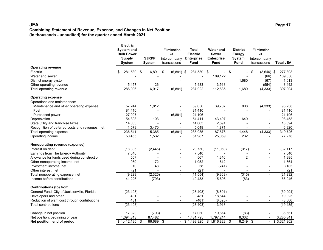#### **JEA Page 17 Combining Statement of Revenue, Expense, and Changes in Net Position (in thousands - unaudited) for the quarter ended March 2021**

|                                                         | <b>Electric</b><br>System and<br><b>Bulk Power</b><br><b>Supply</b><br><b>System</b> | <b>SJRPP</b><br><b>System</b> | Elimination<br>of<br>intercompany<br>transactions | <b>Total</b><br><b>Electric</b><br><b>Enterprise</b><br><b>Fund</b> | <b>Water and</b><br><b>Sewer</b><br><b>Enterprise</b><br><b>Fund</b> | <b>District</b><br>Energy<br>System<br><b>Fund</b> | Elimination<br>of<br>intercompany<br>transactions | <b>Total JEA</b> |
|---------------------------------------------------------|--------------------------------------------------------------------------------------|-------------------------------|---------------------------------------------------|---------------------------------------------------------------------|----------------------------------------------------------------------|----------------------------------------------------|---------------------------------------------------|------------------|
| <b>Operating revenue</b>                                |                                                                                      |                               |                                                   |                                                                     |                                                                      |                                                    |                                                   |                  |
| Electric                                                | \$<br>281,539<br>\$                                                                  | 6,891                         | -\$<br>$(6,891)$ \$                               | 281,539 \$                                                          | $\blacksquare$                                                       | -\$                                                | \$<br>$(3,646)$ \$                                | 277,893          |
| Water and sewer                                         |                                                                                      |                               |                                                   |                                                                     | 109,122                                                              |                                                    | (66)                                              | 109,056          |
| District energy system                                  |                                                                                      |                               |                                                   |                                                                     |                                                                      | 1,680                                              | (67)                                              | 1,613            |
| Other operating revenue                                 | 5,457<br>286,996                                                                     | 26<br>6,917                   | (6, 891)                                          | 5,483                                                               | 3,513<br>112,635                                                     | 1,680                                              | (554)                                             | 8,442            |
| Total operating revenue                                 |                                                                                      |                               |                                                   | 287,022                                                             |                                                                      |                                                    | (4, 333)                                          | 397,004          |
| <b>Operating expense</b><br>Operations and maintenance: |                                                                                      |                               |                                                   |                                                                     |                                                                      |                                                    |                                                   |                  |
| Maintenance and other operating expense                 | 57,244                                                                               | 1,812                         |                                                   | 59,056                                                              | 39,707                                                               | 808                                                | (4, 333)                                          | 95,238           |
| Fuel                                                    | 81,410                                                                               |                               |                                                   | 81,410                                                              |                                                                      |                                                    |                                                   | 81,410           |
| Purchased power                                         | 27,997                                                                               | $\blacksquare$                | (6,891)                                           | 21,106                                                              | $\blacksquare$                                                       |                                                    |                                                   | 21,106           |
| Depreciation                                            | 54,308                                                                               | 103                           |                                                   | 54,411                                                              | 43,407                                                               | 640                                                |                                                   | 98,458           |
| State utility and franchise taxes                       | 14,003                                                                               |                               |                                                   | 14,003                                                              | 2,591                                                                |                                                    |                                                   | 16,594           |
| Recognition of deferred costs and revenues, net         | 1,579                                                                                | 3,470                         |                                                   | 5,049                                                               | 1,871                                                                |                                                    |                                                   | 6,920            |
| Total operating expense                                 | 236,541                                                                              | 5,385                         | (6, 891)                                          | 235,035                                                             | 87,576                                                               | 1,448                                              | (4, 333)                                          | 319,726          |
| Operating income                                        | 50,455                                                                               | 1,532                         | $\overline{\phantom{a}}$                          | 51,987                                                              | 25,059                                                               | 232                                                | $\blacksquare$                                    | 77,278           |
| Nonoperating revenue (expense)                          |                                                                                      |                               |                                                   |                                                                     |                                                                      |                                                    |                                                   |                  |
| Interest on debt                                        | (18, 305)                                                                            | (2, 445)                      |                                                   | (20, 750)                                                           | (11,050)                                                             | (317)                                              |                                                   | (32, 117)        |
| Earnings from The Energy Authority                      | 7,540                                                                                |                               |                                                   | 7,540                                                               |                                                                      |                                                    |                                                   | 7,540            |
| Allowance for funds used during construction            | 567                                                                                  |                               |                                                   | 567                                                                 | 1,316                                                                | 2                                                  |                                                   | 1,885            |
| Other nonoperating income, net                          | 980                                                                                  | 72                            |                                                   | 1,052                                                               | 612                                                                  |                                                    |                                                   | 1,664            |
| Investment income, net                                  | 10                                                                                   | 48                            |                                                   | 58                                                                  | (241)                                                                |                                                    | $\blacksquare$                                    | (183)            |
| Other interest, net                                     | (21)                                                                                 |                               |                                                   | (21)                                                                | $\overline{a}$                                                       |                                                    | $\blacksquare$                                    | (21)             |
| Total nonoperating expense, net                         | (9,229)                                                                              | (2, 325)                      | $\overline{\phantom{a}}$                          | (11, 554)                                                           | (9,363)                                                              | (315)                                              | $\overline{\phantom{a}}$                          | (21, 232)        |
| Income before contributions                             | 41,226                                                                               | (793)                         | $\mathbf{r}$                                      | 40,433                                                              | 15,696                                                               | (83)                                               | $\blacksquare$                                    | 56,046           |
| <b>Contributions (to) from</b>                          |                                                                                      |                               |                                                   |                                                                     |                                                                      |                                                    |                                                   |                  |
| General Fund, City of Jacksonville, Florida             | (23, 403)                                                                            |                               |                                                   | (23, 403)                                                           | (6,601)                                                              |                                                    | $\blacksquare$                                    | (30,004)         |
| Developers and other                                    | 481                                                                                  |                               |                                                   | 481                                                                 | 18,544                                                               |                                                    | $\blacksquare$                                    | 19,025           |
| Reduction of plant cost through contributions           | (481)                                                                                |                               | $\overline{\phantom{a}}$                          | (481)                                                               | (8,025)                                                              |                                                    | $\overline{\phantom{a}}$                          | (8,506)          |
| <b>Total contributions</b>                              | (23, 403)                                                                            |                               | $\blacksquare$                                    | (23, 403)                                                           | 3,918                                                                |                                                    | $\blacksquare$                                    | (19, 485)        |
| Change in net position                                  | 17,823                                                                               | (793)                         |                                                   | 17,030                                                              | 19,614                                                               | (83)                                               |                                                   | 36,561           |
| Net position, beginning of year                         | 1,394,313                                                                            | 87,482                        |                                                   | 1,481,795                                                           | 1,797,214                                                            | 6,332                                              |                                                   | 3,285,341        |
| Net position, end of period                             | \$1,412,136<br>\$                                                                    | 86,689 \$                     | $\overline{\phantom{a}}$                          | \$1,498,825                                                         | \$1,816,828                                                          | 6,249<br>\$                                        | \$<br>$\overline{\phantom{a}}$                    | \$3,321,902      |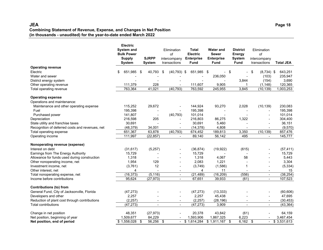#### **JEA Page 18 Combining Statement of Revenue, Expense, and Changes in Net Position (in thousands - unaudited) for the year-to-date ended March 2022**

| <b>Fund</b><br><b>System</b><br><b>System</b><br>transactions<br><b>Fund</b><br><b>Fund</b><br>transactions<br><b>Total JEA</b><br><b>Operating revenue</b><br>Electric<br>\$<br>651,985<br>\$<br>40,793<br>\$<br>$(40, 793)$ \$<br>651,985 \$<br>-\$<br>\$<br>$(8,734)$ \$<br>643,251<br>$\blacksquare$<br>236,050<br>(103)<br>235,947<br>Water and sewer<br>3,844<br>(154)<br>3,690<br>District energy system<br>228<br>Other operating revenue<br>111,379<br>111,607<br>9,905<br>120,365<br>(1, 148)<br>763.364<br>41,021<br>(40.793)<br>763,592<br>3,845<br>1,003,253<br>245,955<br>(10, 139)<br>Total operating revenue<br><b>Operating expense</b><br>Operations and maintenance:<br>115,252<br>2,028<br>230,083<br>Maintenance and other operating expense<br>29,672<br>144,924<br>93,270<br>(10, 139)<br>195,398<br>195,398<br>195,398<br>Fuel<br>101,014<br>Purchased power<br>141,807<br>(40, 793)<br>101,014<br>$\blacksquare$<br>$\overline{\phantom{a}}$<br>Depreciation<br>216,598<br>205<br>216,803<br>1,322<br>304,400<br>86,275<br>$\blacksquare$<br>State utility and franchise taxes<br>30,691<br>30,691<br>5,460<br>36,151<br>Recognition of deferred costs and revenues, net<br>(48, 379)<br>(14, 378)<br>4,808<br>(9,570)<br>34,001<br>Total operating expense<br>63,878<br>(40, 793)<br>674,452<br>189,813<br>(10, 139)<br>651,367<br>3,350<br>857,476<br>(22, 857)<br>56,142<br>145,777<br>Operating income<br>111,997<br>89,140<br>495<br>$\overline{\phantom{a}}$<br>$\blacksquare$<br>Nonoperating revenue (expense)<br>Interest on debt<br>(31, 617)<br>(5,257)<br>(36, 874)<br>(19, 922)<br>(615)<br>(57, 411)<br>Earnings from The Energy Authority<br>15,729<br>15,729<br>15,729<br>1,318<br>58<br>Allowance for funds used during construction<br>1,318<br>4,067<br>5,443<br>1,954<br>2,083<br>1,221<br>3,304<br>Other nonoperating income, net<br>129<br>12<br>Investment income, net<br>(3,761)<br>(3,749)<br>(1,586)<br>(5, 334)<br>1<br>$\blacksquare$<br>$\blacksquare$<br>Other interest, net<br>4<br>4<br>11<br>15<br>$\blacksquare$<br>$\blacksquare$<br>$\overline{\phantom{a}}$<br>(16, 373)<br>(5, 116)<br>(16, 209)<br>(556)<br>(38, 254)<br>Total nonoperating expense, net<br>(21, 489)<br>$\overline{\phantom{a}}$<br>$\overline{\phantom{a}}$<br>95,624<br>(27, 973)<br>67,651<br>39,933<br>(61)<br>107,523<br>Income before contributions<br>$\overline{\phantom{a}}$<br>$\blacksquare$<br><b>Contributions (to) from</b><br>General Fund, City of Jacksonville, Florida<br>(47, 273)<br>(47, 273)<br>(13, 333)<br>(60, 606)<br>$\overline{a}$<br>Developers and other<br>2,257<br>2,257<br>45,438<br>47,695<br>Reduction of plant cost through contributions<br>(2, 257)<br>(2, 257)<br>(28, 196)<br>(30, 453)<br>$\blacksquare$<br>$\overline{\phantom{a}}$<br>(47, 273)<br>(47, 273)<br><b>Total contributions</b><br>3,909<br>(43, 364)<br>$\blacksquare$<br>$\mathbf{r}$<br>$\blacksquare$<br>48,351<br>(27, 973)<br>20,378<br>43,842<br>(61)<br>64,159<br>Change in net position<br>1,509,677<br>84,229<br>1,593,906<br>1,867,325<br>6,223<br>Net position, beginning of year<br>3,467,454<br>56,256<br>6,162<br>\$1,558,028<br>\$<br>\$<br>\$1,614,284<br>\$1,911,167<br>\$<br>\$<br>\$3,531,613<br>Net position, end of period<br>$\omega_{\rm{eff}}$<br>$\blacksquare$ | <b>Electric</b><br>System and<br><b>Bulk Power</b><br><b>Supply</b> | <b>SJRPP</b> | Elimination<br>of<br>intercompany | Total<br><b>Electric</b><br><b>Enterprise</b> | <b>Water and</b><br><b>Sewer</b><br><b>Enterprise</b> | <b>District</b><br><b>Energy</b><br><b>System</b> | Elimination<br>of<br>intercompany |  |
|----------------------------------------------------------------------------------------------------------------------------------------------------------------------------------------------------------------------------------------------------------------------------------------------------------------------------------------------------------------------------------------------------------------------------------------------------------------------------------------------------------------------------------------------------------------------------------------------------------------------------------------------------------------------------------------------------------------------------------------------------------------------------------------------------------------------------------------------------------------------------------------------------------------------------------------------------------------------------------------------------------------------------------------------------------------------------------------------------------------------------------------------------------------------------------------------------------------------------------------------------------------------------------------------------------------------------------------------------------------------------------------------------------------------------------------------------------------------------------------------------------------------------------------------------------------------------------------------------------------------------------------------------------------------------------------------------------------------------------------------------------------------------------------------------------------------------------------------------------------------------------------------------------------------------------------------------------------------------------------------------------------------------------------------------------------------------------------------------------------------------------------------------------------------------------------------------------------------------------------------------------------------------------------------------------------------------------------------------------------------------------------------------------------------------------------------------------------------------------------------------------------------------------------------------------------------------------------------------------------------------------------------------------------------------------------------------------------------------------------------------------------------------------------------------------------------------------------------------------------------------------------------------------------------------------------------------------------------------------------------------------------------------------------------------------------------------------------------------------------------------------------------------------------------------------------------------------------------------------------------------------------------------------------------------------------------------------|---------------------------------------------------------------------|--------------|-----------------------------------|-----------------------------------------------|-------------------------------------------------------|---------------------------------------------------|-----------------------------------|--|
|                                                                                                                                                                                                                                                                                                                                                                                                                                                                                                                                                                                                                                                                                                                                                                                                                                                                                                                                                                                                                                                                                                                                                                                                                                                                                                                                                                                                                                                                                                                                                                                                                                                                                                                                                                                                                                                                                                                                                                                                                                                                                                                                                                                                                                                                                                                                                                                                                                                                                                                                                                                                                                                                                                                                                                                                                                                                                                                                                                                                                                                                                                                                                                                                                                                                                                                                  |                                                                     |              |                                   |                                               |                                                       |                                                   |                                   |  |
|                                                                                                                                                                                                                                                                                                                                                                                                                                                                                                                                                                                                                                                                                                                                                                                                                                                                                                                                                                                                                                                                                                                                                                                                                                                                                                                                                                                                                                                                                                                                                                                                                                                                                                                                                                                                                                                                                                                                                                                                                                                                                                                                                                                                                                                                                                                                                                                                                                                                                                                                                                                                                                                                                                                                                                                                                                                                                                                                                                                                                                                                                                                                                                                                                                                                                                                                  |                                                                     |              |                                   |                                               |                                                       |                                                   |                                   |  |
|                                                                                                                                                                                                                                                                                                                                                                                                                                                                                                                                                                                                                                                                                                                                                                                                                                                                                                                                                                                                                                                                                                                                                                                                                                                                                                                                                                                                                                                                                                                                                                                                                                                                                                                                                                                                                                                                                                                                                                                                                                                                                                                                                                                                                                                                                                                                                                                                                                                                                                                                                                                                                                                                                                                                                                                                                                                                                                                                                                                                                                                                                                                                                                                                                                                                                                                                  |                                                                     |              |                                   |                                               |                                                       |                                                   |                                   |  |
|                                                                                                                                                                                                                                                                                                                                                                                                                                                                                                                                                                                                                                                                                                                                                                                                                                                                                                                                                                                                                                                                                                                                                                                                                                                                                                                                                                                                                                                                                                                                                                                                                                                                                                                                                                                                                                                                                                                                                                                                                                                                                                                                                                                                                                                                                                                                                                                                                                                                                                                                                                                                                                                                                                                                                                                                                                                                                                                                                                                                                                                                                                                                                                                                                                                                                                                                  |                                                                     |              |                                   |                                               |                                                       |                                                   |                                   |  |
|                                                                                                                                                                                                                                                                                                                                                                                                                                                                                                                                                                                                                                                                                                                                                                                                                                                                                                                                                                                                                                                                                                                                                                                                                                                                                                                                                                                                                                                                                                                                                                                                                                                                                                                                                                                                                                                                                                                                                                                                                                                                                                                                                                                                                                                                                                                                                                                                                                                                                                                                                                                                                                                                                                                                                                                                                                                                                                                                                                                                                                                                                                                                                                                                                                                                                                                                  |                                                                     |              |                                   |                                               |                                                       |                                                   |                                   |  |
|                                                                                                                                                                                                                                                                                                                                                                                                                                                                                                                                                                                                                                                                                                                                                                                                                                                                                                                                                                                                                                                                                                                                                                                                                                                                                                                                                                                                                                                                                                                                                                                                                                                                                                                                                                                                                                                                                                                                                                                                                                                                                                                                                                                                                                                                                                                                                                                                                                                                                                                                                                                                                                                                                                                                                                                                                                                                                                                                                                                                                                                                                                                                                                                                                                                                                                                                  |                                                                     |              |                                   |                                               |                                                       |                                                   |                                   |  |
|                                                                                                                                                                                                                                                                                                                                                                                                                                                                                                                                                                                                                                                                                                                                                                                                                                                                                                                                                                                                                                                                                                                                                                                                                                                                                                                                                                                                                                                                                                                                                                                                                                                                                                                                                                                                                                                                                                                                                                                                                                                                                                                                                                                                                                                                                                                                                                                                                                                                                                                                                                                                                                                                                                                                                                                                                                                                                                                                                                                                                                                                                                                                                                                                                                                                                                                                  |                                                                     |              |                                   |                                               |                                                       |                                                   |                                   |  |
|                                                                                                                                                                                                                                                                                                                                                                                                                                                                                                                                                                                                                                                                                                                                                                                                                                                                                                                                                                                                                                                                                                                                                                                                                                                                                                                                                                                                                                                                                                                                                                                                                                                                                                                                                                                                                                                                                                                                                                                                                                                                                                                                                                                                                                                                                                                                                                                                                                                                                                                                                                                                                                                                                                                                                                                                                                                                                                                                                                                                                                                                                                                                                                                                                                                                                                                                  |                                                                     |              |                                   |                                               |                                                       |                                                   |                                   |  |
|                                                                                                                                                                                                                                                                                                                                                                                                                                                                                                                                                                                                                                                                                                                                                                                                                                                                                                                                                                                                                                                                                                                                                                                                                                                                                                                                                                                                                                                                                                                                                                                                                                                                                                                                                                                                                                                                                                                                                                                                                                                                                                                                                                                                                                                                                                                                                                                                                                                                                                                                                                                                                                                                                                                                                                                                                                                                                                                                                                                                                                                                                                                                                                                                                                                                                                                                  |                                                                     |              |                                   |                                               |                                                       |                                                   |                                   |  |
|                                                                                                                                                                                                                                                                                                                                                                                                                                                                                                                                                                                                                                                                                                                                                                                                                                                                                                                                                                                                                                                                                                                                                                                                                                                                                                                                                                                                                                                                                                                                                                                                                                                                                                                                                                                                                                                                                                                                                                                                                                                                                                                                                                                                                                                                                                                                                                                                                                                                                                                                                                                                                                                                                                                                                                                                                                                                                                                                                                                                                                                                                                                                                                                                                                                                                                                                  |                                                                     |              |                                   |                                               |                                                       |                                                   |                                   |  |
|                                                                                                                                                                                                                                                                                                                                                                                                                                                                                                                                                                                                                                                                                                                                                                                                                                                                                                                                                                                                                                                                                                                                                                                                                                                                                                                                                                                                                                                                                                                                                                                                                                                                                                                                                                                                                                                                                                                                                                                                                                                                                                                                                                                                                                                                                                                                                                                                                                                                                                                                                                                                                                                                                                                                                                                                                                                                                                                                                                                                                                                                                                                                                                                                                                                                                                                                  |                                                                     |              |                                   |                                               |                                                       |                                                   |                                   |  |
|                                                                                                                                                                                                                                                                                                                                                                                                                                                                                                                                                                                                                                                                                                                                                                                                                                                                                                                                                                                                                                                                                                                                                                                                                                                                                                                                                                                                                                                                                                                                                                                                                                                                                                                                                                                                                                                                                                                                                                                                                                                                                                                                                                                                                                                                                                                                                                                                                                                                                                                                                                                                                                                                                                                                                                                                                                                                                                                                                                                                                                                                                                                                                                                                                                                                                                                                  |                                                                     |              |                                   |                                               |                                                       |                                                   |                                   |  |
|                                                                                                                                                                                                                                                                                                                                                                                                                                                                                                                                                                                                                                                                                                                                                                                                                                                                                                                                                                                                                                                                                                                                                                                                                                                                                                                                                                                                                                                                                                                                                                                                                                                                                                                                                                                                                                                                                                                                                                                                                                                                                                                                                                                                                                                                                                                                                                                                                                                                                                                                                                                                                                                                                                                                                                                                                                                                                                                                                                                                                                                                                                                                                                                                                                                                                                                                  |                                                                     |              |                                   |                                               |                                                       |                                                   |                                   |  |
|                                                                                                                                                                                                                                                                                                                                                                                                                                                                                                                                                                                                                                                                                                                                                                                                                                                                                                                                                                                                                                                                                                                                                                                                                                                                                                                                                                                                                                                                                                                                                                                                                                                                                                                                                                                                                                                                                                                                                                                                                                                                                                                                                                                                                                                                                                                                                                                                                                                                                                                                                                                                                                                                                                                                                                                                                                                                                                                                                                                                                                                                                                                                                                                                                                                                                                                                  |                                                                     |              |                                   |                                               |                                                       |                                                   |                                   |  |
|                                                                                                                                                                                                                                                                                                                                                                                                                                                                                                                                                                                                                                                                                                                                                                                                                                                                                                                                                                                                                                                                                                                                                                                                                                                                                                                                                                                                                                                                                                                                                                                                                                                                                                                                                                                                                                                                                                                                                                                                                                                                                                                                                                                                                                                                                                                                                                                                                                                                                                                                                                                                                                                                                                                                                                                                                                                                                                                                                                                                                                                                                                                                                                                                                                                                                                                                  |                                                                     |              |                                   |                                               |                                                       |                                                   |                                   |  |
|                                                                                                                                                                                                                                                                                                                                                                                                                                                                                                                                                                                                                                                                                                                                                                                                                                                                                                                                                                                                                                                                                                                                                                                                                                                                                                                                                                                                                                                                                                                                                                                                                                                                                                                                                                                                                                                                                                                                                                                                                                                                                                                                                                                                                                                                                                                                                                                                                                                                                                                                                                                                                                                                                                                                                                                                                                                                                                                                                                                                                                                                                                                                                                                                                                                                                                                                  |                                                                     |              |                                   |                                               |                                                       |                                                   |                                   |  |
|                                                                                                                                                                                                                                                                                                                                                                                                                                                                                                                                                                                                                                                                                                                                                                                                                                                                                                                                                                                                                                                                                                                                                                                                                                                                                                                                                                                                                                                                                                                                                                                                                                                                                                                                                                                                                                                                                                                                                                                                                                                                                                                                                                                                                                                                                                                                                                                                                                                                                                                                                                                                                                                                                                                                                                                                                                                                                                                                                                                                                                                                                                                                                                                                                                                                                                                                  |                                                                     |              |                                   |                                               |                                                       |                                                   |                                   |  |
|                                                                                                                                                                                                                                                                                                                                                                                                                                                                                                                                                                                                                                                                                                                                                                                                                                                                                                                                                                                                                                                                                                                                                                                                                                                                                                                                                                                                                                                                                                                                                                                                                                                                                                                                                                                                                                                                                                                                                                                                                                                                                                                                                                                                                                                                                                                                                                                                                                                                                                                                                                                                                                                                                                                                                                                                                                                                                                                                                                                                                                                                                                                                                                                                                                                                                                                                  |                                                                     |              |                                   |                                               |                                                       |                                                   |                                   |  |
|                                                                                                                                                                                                                                                                                                                                                                                                                                                                                                                                                                                                                                                                                                                                                                                                                                                                                                                                                                                                                                                                                                                                                                                                                                                                                                                                                                                                                                                                                                                                                                                                                                                                                                                                                                                                                                                                                                                                                                                                                                                                                                                                                                                                                                                                                                                                                                                                                                                                                                                                                                                                                                                                                                                                                                                                                                                                                                                                                                                                                                                                                                                                                                                                                                                                                                                                  |                                                                     |              |                                   |                                               |                                                       |                                                   |                                   |  |
|                                                                                                                                                                                                                                                                                                                                                                                                                                                                                                                                                                                                                                                                                                                                                                                                                                                                                                                                                                                                                                                                                                                                                                                                                                                                                                                                                                                                                                                                                                                                                                                                                                                                                                                                                                                                                                                                                                                                                                                                                                                                                                                                                                                                                                                                                                                                                                                                                                                                                                                                                                                                                                                                                                                                                                                                                                                                                                                                                                                                                                                                                                                                                                                                                                                                                                                                  |                                                                     |              |                                   |                                               |                                                       |                                                   |                                   |  |
|                                                                                                                                                                                                                                                                                                                                                                                                                                                                                                                                                                                                                                                                                                                                                                                                                                                                                                                                                                                                                                                                                                                                                                                                                                                                                                                                                                                                                                                                                                                                                                                                                                                                                                                                                                                                                                                                                                                                                                                                                                                                                                                                                                                                                                                                                                                                                                                                                                                                                                                                                                                                                                                                                                                                                                                                                                                                                                                                                                                                                                                                                                                                                                                                                                                                                                                                  |                                                                     |              |                                   |                                               |                                                       |                                                   |                                   |  |
|                                                                                                                                                                                                                                                                                                                                                                                                                                                                                                                                                                                                                                                                                                                                                                                                                                                                                                                                                                                                                                                                                                                                                                                                                                                                                                                                                                                                                                                                                                                                                                                                                                                                                                                                                                                                                                                                                                                                                                                                                                                                                                                                                                                                                                                                                                                                                                                                                                                                                                                                                                                                                                                                                                                                                                                                                                                                                                                                                                                                                                                                                                                                                                                                                                                                                                                                  |                                                                     |              |                                   |                                               |                                                       |                                                   |                                   |  |
|                                                                                                                                                                                                                                                                                                                                                                                                                                                                                                                                                                                                                                                                                                                                                                                                                                                                                                                                                                                                                                                                                                                                                                                                                                                                                                                                                                                                                                                                                                                                                                                                                                                                                                                                                                                                                                                                                                                                                                                                                                                                                                                                                                                                                                                                                                                                                                                                                                                                                                                                                                                                                                                                                                                                                                                                                                                                                                                                                                                                                                                                                                                                                                                                                                                                                                                                  |                                                                     |              |                                   |                                               |                                                       |                                                   |                                   |  |
|                                                                                                                                                                                                                                                                                                                                                                                                                                                                                                                                                                                                                                                                                                                                                                                                                                                                                                                                                                                                                                                                                                                                                                                                                                                                                                                                                                                                                                                                                                                                                                                                                                                                                                                                                                                                                                                                                                                                                                                                                                                                                                                                                                                                                                                                                                                                                                                                                                                                                                                                                                                                                                                                                                                                                                                                                                                                                                                                                                                                                                                                                                                                                                                                                                                                                                                                  |                                                                     |              |                                   |                                               |                                                       |                                                   |                                   |  |
|                                                                                                                                                                                                                                                                                                                                                                                                                                                                                                                                                                                                                                                                                                                                                                                                                                                                                                                                                                                                                                                                                                                                                                                                                                                                                                                                                                                                                                                                                                                                                                                                                                                                                                                                                                                                                                                                                                                                                                                                                                                                                                                                                                                                                                                                                                                                                                                                                                                                                                                                                                                                                                                                                                                                                                                                                                                                                                                                                                                                                                                                                                                                                                                                                                                                                                                                  |                                                                     |              |                                   |                                               |                                                       |                                                   |                                   |  |
|                                                                                                                                                                                                                                                                                                                                                                                                                                                                                                                                                                                                                                                                                                                                                                                                                                                                                                                                                                                                                                                                                                                                                                                                                                                                                                                                                                                                                                                                                                                                                                                                                                                                                                                                                                                                                                                                                                                                                                                                                                                                                                                                                                                                                                                                                                                                                                                                                                                                                                                                                                                                                                                                                                                                                                                                                                                                                                                                                                                                                                                                                                                                                                                                                                                                                                                                  |                                                                     |              |                                   |                                               |                                                       |                                                   |                                   |  |
|                                                                                                                                                                                                                                                                                                                                                                                                                                                                                                                                                                                                                                                                                                                                                                                                                                                                                                                                                                                                                                                                                                                                                                                                                                                                                                                                                                                                                                                                                                                                                                                                                                                                                                                                                                                                                                                                                                                                                                                                                                                                                                                                                                                                                                                                                                                                                                                                                                                                                                                                                                                                                                                                                                                                                                                                                                                                                                                                                                                                                                                                                                                                                                                                                                                                                                                                  |                                                                     |              |                                   |                                               |                                                       |                                                   |                                   |  |
|                                                                                                                                                                                                                                                                                                                                                                                                                                                                                                                                                                                                                                                                                                                                                                                                                                                                                                                                                                                                                                                                                                                                                                                                                                                                                                                                                                                                                                                                                                                                                                                                                                                                                                                                                                                                                                                                                                                                                                                                                                                                                                                                                                                                                                                                                                                                                                                                                                                                                                                                                                                                                                                                                                                                                                                                                                                                                                                                                                                                                                                                                                                                                                                                                                                                                                                                  |                                                                     |              |                                   |                                               |                                                       |                                                   |                                   |  |
|                                                                                                                                                                                                                                                                                                                                                                                                                                                                                                                                                                                                                                                                                                                                                                                                                                                                                                                                                                                                                                                                                                                                                                                                                                                                                                                                                                                                                                                                                                                                                                                                                                                                                                                                                                                                                                                                                                                                                                                                                                                                                                                                                                                                                                                                                                                                                                                                                                                                                                                                                                                                                                                                                                                                                                                                                                                                                                                                                                                                                                                                                                                                                                                                                                                                                                                                  |                                                                     |              |                                   |                                               |                                                       |                                                   |                                   |  |
|                                                                                                                                                                                                                                                                                                                                                                                                                                                                                                                                                                                                                                                                                                                                                                                                                                                                                                                                                                                                                                                                                                                                                                                                                                                                                                                                                                                                                                                                                                                                                                                                                                                                                                                                                                                                                                                                                                                                                                                                                                                                                                                                                                                                                                                                                                                                                                                                                                                                                                                                                                                                                                                                                                                                                                                                                                                                                                                                                                                                                                                                                                                                                                                                                                                                                                                                  |                                                                     |              |                                   |                                               |                                                       |                                                   |                                   |  |
|                                                                                                                                                                                                                                                                                                                                                                                                                                                                                                                                                                                                                                                                                                                                                                                                                                                                                                                                                                                                                                                                                                                                                                                                                                                                                                                                                                                                                                                                                                                                                                                                                                                                                                                                                                                                                                                                                                                                                                                                                                                                                                                                                                                                                                                                                                                                                                                                                                                                                                                                                                                                                                                                                                                                                                                                                                                                                                                                                                                                                                                                                                                                                                                                                                                                                                                                  |                                                                     |              |                                   |                                               |                                                       |                                                   |                                   |  |
|                                                                                                                                                                                                                                                                                                                                                                                                                                                                                                                                                                                                                                                                                                                                                                                                                                                                                                                                                                                                                                                                                                                                                                                                                                                                                                                                                                                                                                                                                                                                                                                                                                                                                                                                                                                                                                                                                                                                                                                                                                                                                                                                                                                                                                                                                                                                                                                                                                                                                                                                                                                                                                                                                                                                                                                                                                                                                                                                                                                                                                                                                                                                                                                                                                                                                                                                  |                                                                     |              |                                   |                                               |                                                       |                                                   |                                   |  |
|                                                                                                                                                                                                                                                                                                                                                                                                                                                                                                                                                                                                                                                                                                                                                                                                                                                                                                                                                                                                                                                                                                                                                                                                                                                                                                                                                                                                                                                                                                                                                                                                                                                                                                                                                                                                                                                                                                                                                                                                                                                                                                                                                                                                                                                                                                                                                                                                                                                                                                                                                                                                                                                                                                                                                                                                                                                                                                                                                                                                                                                                                                                                                                                                                                                                                                                                  |                                                                     |              |                                   |                                               |                                                       |                                                   |                                   |  |
|                                                                                                                                                                                                                                                                                                                                                                                                                                                                                                                                                                                                                                                                                                                                                                                                                                                                                                                                                                                                                                                                                                                                                                                                                                                                                                                                                                                                                                                                                                                                                                                                                                                                                                                                                                                                                                                                                                                                                                                                                                                                                                                                                                                                                                                                                                                                                                                                                                                                                                                                                                                                                                                                                                                                                                                                                                                                                                                                                                                                                                                                                                                                                                                                                                                                                                                                  |                                                                     |              |                                   |                                               |                                                       |                                                   |                                   |  |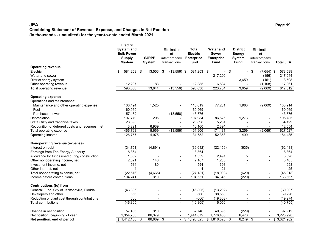#### **JEA Page 19 Combining Statement of Revenue, Expense, and Changes in Net Position (in thousands - unaudited) for the year-to-date ended March 2021**

|                                                 | <b>Electric</b><br><b>System and</b><br><b>Bulk Power</b><br><b>Supply</b><br><b>System</b> | <b>SJRPP</b><br><b>System</b> | Elimination<br>of<br>intercompany<br>transactions | Total<br><b>Electric</b><br><b>Enterprise</b><br><b>Fund</b> | <b>Water and</b><br><b>Sewer</b><br><b>Enterprise</b><br><b>Fund</b> |     | <b>District</b><br><b>Energy</b><br>System<br><b>Fund</b> | Elimination<br>of<br>intercompany<br>transactions | <b>Total JEA</b> |
|-------------------------------------------------|---------------------------------------------------------------------------------------------|-------------------------------|---------------------------------------------------|--------------------------------------------------------------|----------------------------------------------------------------------|-----|-----------------------------------------------------------|---------------------------------------------------|------------------|
| <b>Operating revenue</b>                        |                                                                                             |                               |                                                   |                                                              |                                                                      |     |                                                           |                                                   |                  |
| Electric                                        | \$<br>581,253                                                                               | \$<br>13,556                  | \$<br>$(13,556)$ \$                               | 581,253 \$                                                   | $\sim$                                                               | -\$ |                                                           | \$<br>$(7,654)$ \$                                | 573,599          |
| Water and sewer                                 |                                                                                             |                               |                                                   |                                                              | 217,200                                                              |     |                                                           | (156)                                             | 217,044          |
| District energy system                          |                                                                                             |                               |                                                   |                                                              |                                                                      |     | 3,659                                                     | (151)                                             | 3,508            |
| Other operating revenue                         | 12,297                                                                                      | 88                            |                                                   | 12,385                                                       | 6,584                                                                |     |                                                           | (1, 108)                                          | 17,861           |
| Total operating revenue                         | 593,550                                                                                     | 13,644                        | (13, 556)                                         | 593,638                                                      | 223,784                                                              |     | 3,659                                                     | (9,069)                                           | 812,012          |
| <b>Operating expense</b>                        |                                                                                             |                               |                                                   |                                                              |                                                                      |     |                                                           |                                                   |                  |
| Operations and maintenance:                     |                                                                                             |                               |                                                   |                                                              |                                                                      |     |                                                           |                                                   |                  |
| Maintenance and other operating expense         | 108,494                                                                                     | 1,525                         | $\overline{\phantom{a}}$                          | 110,019                                                      | 77,281                                                               |     | 1,983                                                     | (9,069)                                           | 180,214          |
| Fuel                                            | 160,969                                                                                     |                               |                                                   | 160,969                                                      |                                                                      |     |                                                           |                                                   | 160,969          |
| Purchased power                                 | 57,432                                                                                      | $\overline{\phantom{a}}$      | (13, 556)                                         | 43,876                                                       |                                                                      |     |                                                           |                                                   | 43,876           |
| Depreciation                                    | 107,779                                                                                     | 205                           | $\blacksquare$                                    | 107,984                                                      | 86,525                                                               |     | 1,276                                                     | ÷,                                                | 195,785          |
| State utility and franchise taxes               | 28,898                                                                                      |                               |                                                   | 28,898                                                       | 5,231                                                                |     |                                                           |                                                   | 34,129           |
| Recognition of deferred costs and revenues, net | 3,221                                                                                       | 6,939                         | $\overline{\phantom{a}}$                          | 10,160                                                       | 2,394                                                                |     |                                                           |                                                   | 12,554           |
| Total operating expense                         | 466,793                                                                                     | 8,669                         | (13, 556)                                         | 461,906                                                      | 171,431                                                              |     | 3,259                                                     | (9,069)                                           | 627,527          |
| Operating income                                | 126,757                                                                                     | 4,975                         | $\overline{\phantom{a}}$                          | 131,732                                                      | 52,353                                                               |     | 400                                                       | $\overline{\phantom{a}}$                          | 184,485          |
| Nonoperating revenue (expense)                  |                                                                                             |                               |                                                   |                                                              |                                                                      |     |                                                           |                                                   |                  |
| Interest on debt                                | (34, 751)                                                                                   | (4,891)                       |                                                   | (39, 642)                                                    | (22, 156)                                                            |     | (635)                                                     |                                                   | (62, 433)        |
| Earnings from The Energy Authority              | 8,364                                                                                       |                               |                                                   | 8,364                                                        |                                                                      |     |                                                           |                                                   | 8,364            |
| Allowance for funds used during construction    | 1,332                                                                                       |                               |                                                   | 1,332                                                        | 2,491                                                                |     | 5                                                         |                                                   | 3,828            |
| Other nonoperating income, net                  | 2,021                                                                                       | 146                           |                                                   | 2,167                                                        | 1,238                                                                |     |                                                           |                                                   | 3,405            |
| Investment income, net                          | 514                                                                                         | 80                            |                                                   | 594                                                          | 398                                                                  |     | 1                                                         | $\blacksquare$                                    | 993              |
| Other interest, net                             | 4                                                                                           |                               | $\overline{\phantom{a}}$                          | 4                                                            | 21                                                                   |     | $\overline{\phantom{a}}$                                  | $\overline{\phantom{a}}$                          | 25               |
| Total nonoperating expense, net                 | (22, 516)                                                                                   | (4,665)                       | $\overline{\phantom{a}}$                          | (27, 181)                                                    | (18,008)                                                             |     | (629)                                                     | $\overline{\phantom{a}}$                          | (45, 818)        |
| Income before contributions                     | 104,241                                                                                     | 310                           | $\blacksquare$                                    | 104,551                                                      | 34,345                                                               |     | (229)                                                     | $\overline{\phantom{a}}$                          | 138,667          |
| <b>Contributions (to) from</b>                  |                                                                                             |                               |                                                   |                                                              |                                                                      |     |                                                           |                                                   |                  |
| General Fund, City of Jacksonville, Florida     | (46, 805)                                                                                   |                               |                                                   | (46, 805)                                                    | (13,202)                                                             |     |                                                           |                                                   | (60,007)         |
| Developers and other                            | 666                                                                                         |                               |                                                   | 666                                                          | 38,560                                                               |     |                                                           |                                                   | 39,226           |
| Reduction of plant cost through contributions   | (666)                                                                                       |                               |                                                   | (666)                                                        | (19, 308)                                                            |     |                                                           |                                                   | (19, 974)        |
| <b>Total contributions</b>                      | (46, 805)                                                                                   | $\blacksquare$                | $\blacksquare$                                    | (46, 805)                                                    | 6,050                                                                |     | $\sim$                                                    | $\blacksquare$                                    | (40, 755)        |
| Change in net position                          | 57,436                                                                                      | 310                           |                                                   | 57,746                                                       | 40,395                                                               |     | (229)                                                     |                                                   | 97,912           |
| Net position, beginning of year                 | 1,354,700                                                                                   | 86,379                        |                                                   | 1,441,079                                                    | 1,776,433                                                            |     | 6,478                                                     |                                                   | 3,223,990        |
| Net position, end of period                     | \$1,412,136                                                                                 | \$<br>86,689 \$               | $\sim$                                            | \$1,498,825                                                  | $$1,816,828$ \$                                                      |     | 6,249                                                     | \$<br>$\overline{\phantom{a}}$                    | \$3,321,902      |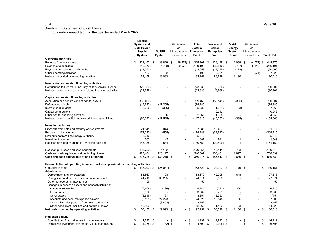#### **JEA Page 20 Combining Statement of Cash Flows (in thousands - unaudited) for the quarter ended March 2022**

|                                                                                 | <b>Electric</b><br><b>System and</b><br><b>Bulk Power</b><br>Supply<br><b>System</b> |     | <b>SJRPP</b><br>System   |      | Elimination<br>of<br>intercompany<br>transactions | <b>Total</b><br><b>Electric</b><br><b>Enterprise</b><br>Fund | <b>Water and</b><br>Sewer<br><b>Enterprise</b><br><b>Fund</b> | <b>District</b><br>Energy<br><b>System</b><br>Fund |      | Elimination<br>of<br>intercompany<br>transactions |    | <b>Total JEA</b> |
|---------------------------------------------------------------------------------|--------------------------------------------------------------------------------------|-----|--------------------------|------|---------------------------------------------------|--------------------------------------------------------------|---------------------------------------------------------------|----------------------------------------------------|------|---------------------------------------------------|----|------------------|
| <b>Operating activities</b>                                                     |                                                                                      |     |                          |      |                                                   |                                                              |                                                               |                                                    |      |                                                   |    |                  |
| Receipts from customers                                                         | \$<br>321,150 \$                                                                     |     | 33,829                   | - \$ | $(29, 678)$ \$                                    | 325,301 \$                                                   | 126,149 \$                                                    | $2,099$ \$                                         |      | $(4,774)$ \$                                      |    | 448,775          |
| Payments to suppliers                                                           | (215,076)                                                                            |     | (4,798)                  |      | 29,678                                            | (190, 196)                                                   | (30, 546)                                                     | (797)                                              |      | 5,348                                             |    | (216, 191)       |
| Payments for salaries and benefits                                              | (43,053)                                                                             |     |                          |      |                                                   | (43, 053)                                                    | (17, 275)                                                     | (172)                                              |      |                                                   |    | (60, 500)        |
| Other operating activities                                                      | 137                                                                                  |     | 62                       |      |                                                   | 199                                                          | 8,301                                                         |                                                    |      | (574)                                             |    | 7,926            |
| Net cash provided by operating activities                                       | 63,158                                                                               |     | 29.093                   |      | $\overline{a}$                                    | 92,251                                                       | 86,629                                                        | 1,130                                              |      |                                                   |    | 180,010          |
| Noncapital and related financing activities                                     |                                                                                      |     |                          |      |                                                   |                                                              |                                                               |                                                    |      |                                                   |    |                  |
| Contribution to General Fund, City of Jacksonville, Florida                     | (23, 636)                                                                            |     |                          |      |                                                   | (23, 636)                                                    | (6,666)                                                       |                                                    |      |                                                   |    | (30, 302)        |
| Net cash used in noncapital and related financing activities                    | (23, 636)                                                                            |     | $\blacksquare$           |      | $\blacksquare$                                    | (23, 636)                                                    | (6,666)                                                       | $\overline{\phantom{a}}$                           |      | $\mathbf{r}$                                      |    | (30.302)         |
| Capital and related financing activities                                        |                                                                                      |     |                          |      |                                                   |                                                              |                                                               |                                                    |      |                                                   |    |                  |
| Acquisition and construction of capital assets                                  | (39, 460)                                                                            |     |                          |      |                                                   | (39, 460)                                                    | (50, 149)                                                     | (395)                                              |      |                                                   |    | (90,004)         |
| Defeasance of debt                                                              | (47, 630)                                                                            |     | (27, 255)                |      |                                                   | (74, 885)                                                    |                                                               |                                                    |      |                                                   |    | (74, 885)        |
| Interest paid on debt                                                           | (5,606)                                                                              |     | (326)                    |      |                                                   | (5,932)                                                      | (1, 334)                                                      | (3)                                                |      |                                                   |    | (7,269)          |
| Capital contributions                                                           |                                                                                      |     |                          |      |                                                   |                                                              | 10,042                                                        |                                                    |      | $\overline{\phantom{a}}$                          |    | 10,042           |
| Other capital financing activities                                              | 2,606                                                                                |     | 56                       |      |                                                   | 2,662                                                        | 1,388                                                         |                                                    |      | $\overline{\phantom{a}}$                          |    | 4,050            |
| Net cash used in capital and related financing activities                       | (90,090)                                                                             |     | (27, 525)                |      | $\overline{\phantom{a}}$                          | (117, 615)                                                   | (40, 053)                                                     | (398)                                              |      | ÷,                                                |    | (158,066)        |
| <b>Investing activities</b>                                                     |                                                                                      |     |                          |      |                                                   |                                                              |                                                               |                                                    |      |                                                   |    |                  |
| Proceeds from sale and maturity of investments                                  | 24,841                                                                               |     | 13,044                   |      |                                                   | 37,885                                                       | 13.487                                                        |                                                    |      |                                                   |    | 51.372           |
| Purchase of investments                                                         | (174, 233)                                                                           |     | (555)                    |      | $\overline{a}$                                    | (174, 788)                                                   | (34, 927)                                                     |                                                    |      | ÷,                                                |    | (209, 715)       |
| Distributions from The Energy Authority                                         | 5,642                                                                                |     |                          |      |                                                   | 5,642                                                        |                                                               |                                                    |      |                                                   |    | 5,642            |
| Investment income                                                               | 562                                                                                  |     | 45                       |      | $\overline{a}$                                    | 607                                                          | 941                                                           | 1                                                  |      | $\overline{a}$                                    |    | 1,549            |
| Net cash provided by (used in) investing activities                             | (143, 188)                                                                           |     | 12,534                   |      | $\blacksquare$                                    | (130, 654)                                                   | (20, 499)                                                     | $\overline{1}$                                     |      | $\blacksquare$                                    |    | (151, 152)       |
| Net change in cash and cash equivalents                                         | (193, 756)                                                                           |     | 14,102                   |      | $\blacksquare$                                    | (179, 654)                                                   | 19,411                                                        | 733                                                |      | $\blacksquare$                                    |    | (159, 510)       |
| Cash and cash equivalents at beginning of year                                  | 420.484                                                                              |     | 120.117                  |      |                                                   | 540.601                                                      | 166,401                                                       | 1.897                                              |      |                                                   |    | 708,899          |
| Cash and cash equivalents at end of period                                      | \$<br>226,728                                                                        | \$  | 134,219                  | \$   | $\blacksquare$                                    | \$<br>360,947                                                | \$<br>185,812                                                 | \$<br>2,630                                        | \$   | $\overline{\phantom{a}}$                          | \$ | 549,389          |
| Reconciliation of operating income to net cash provided by operating activities |                                                                                      |     |                          |      |                                                   |                                                              |                                                               |                                                    |      |                                                   |    |                  |
| Operating income<br>Adjustments:                                                | \$<br>$(38, 293)$ \$                                                                 |     | (25,031)                 |      |                                                   | $(63, 324)$ \$                                               | 22,997 \$                                                     | 176                                                | - \$ | $\overline{\phantom{0}}$                          | S. | (40, 151)        |
| Depreciation and amortization                                                   | 53.567                                                                               |     | 103                      |      |                                                   | 53,670                                                       | 42,995                                                        | 648                                                |      |                                                   |    | 97,313           |
| Recognition of deferred costs and revenues, net                                 | 44,416                                                                               |     | 30,295                   |      | $\overline{a}$                                    | 74,711                                                       | 2,863                                                         |                                                    |      |                                                   |    | 77,574           |
| Other nonoperating income, net                                                  | 55                                                                                   |     |                          |      |                                                   | 55                                                           |                                                               |                                                    |      |                                                   |    | 55               |
| Changes in noncash assets and noncash liabilities:                              |                                                                                      |     |                          |      |                                                   |                                                              |                                                               |                                                    |      |                                                   |    |                  |
| Accounts receivable                                                             | (5,608)                                                                              |     | (136)                    |      |                                                   | (5,744)                                                      | (731)                                                         | 260                                                |      |                                                   |    | (6, 215)         |
| Inventories                                                                     | 3,302                                                                                |     |                          |      |                                                   | 3,302                                                        | 401                                                           |                                                    |      |                                                   |    | 3,703            |
| Other assets                                                                    | (3,945)                                                                              |     | 91                       |      | $\overline{a}$                                    | (3,854)                                                      | 3,393                                                         | $\overline{7}$                                     |      |                                                   |    | (454)            |
| Accounts and accrued expense payable                                            | (3, 198)                                                                             |     | 27,223                   |      |                                                   | 24,025                                                       | 13,548                                                        | 36                                                 |      |                                                   |    | 37,609           |
| Current liabilities payable from restricted assets                              |                                                                                      |     | (3, 452)                 |      | $\overline{\phantom{a}}$                          | (3, 452)                                                     |                                                               |                                                    |      | $\overline{\phantom{a}}$                          |    | (3, 452)         |
| Other noncurrent liabilities and deferred inflows                               | 12,862                                                                               |     |                          |      |                                                   | 12,862                                                       | 1,163                                                         | 3                                                  |      |                                                   |    | 14,028           |
| Net cash provided by operating activities                                       | 63,158                                                                               | -\$ | 29,093                   | \$   | $\blacksquare$                                    | \$<br>92,251                                                 | \$<br>86,629                                                  | \$<br>1,130                                        | \$   | $\overline{\phantom{a}}$                          | \$ | 180,010          |
| Non-cash activity                                                               |                                                                                      |     |                          |      |                                                   |                                                              |                                                               |                                                    |      |                                                   |    |                  |
| Contribution of capital assets from developers                                  | \$<br>1,297                                                                          | -\$ | $\overline{\phantom{a}}$ | \$   |                                                   | \$<br>$1,297$ \$                                             | 12,922 \$                                                     |                                                    | \$   |                                                   | \$ | 14,219           |
| Unrealized investment fair market value changes, net                            | \$<br>$(4,358)$ \$                                                                   |     | $(32)$ \$                |      | $\sim$                                            | \$<br>$(4,390)$ \$                                           | $(2,308)$ \$                                                  | $\sim$                                             | \$   | $\sim$                                            | \$ | (6,698)          |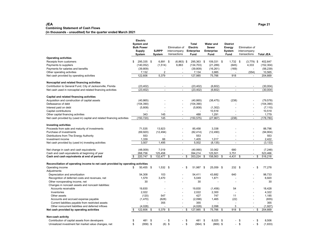#### **JEA Page 21 Combining Statement of Cash Flows (in thousands - unaudited) for the quarter ended March 2021**

|                                                                                 | Electric<br><b>System and</b><br><b>Bulk Power</b><br>Supply<br>System | <b>SJRPP</b><br>System | Elimination of<br>intercompany<br>transactions |      | Total<br>Electric<br>Enterprise<br>Fund | <b>Water and</b><br>Sewer<br><b>Enterprise</b><br>Fund |                | <b>District</b><br>Energy<br>System<br>Fund |          | Elimination of<br>intercompany<br>transactions | <b>Total JEA</b> |
|---------------------------------------------------------------------------------|------------------------------------------------------------------------|------------------------|------------------------------------------------|------|-----------------------------------------|--------------------------------------------------------|----------------|---------------------------------------------|----------|------------------------------------------------|------------------|
| <b>Operating activities</b>                                                     |                                                                        |                        |                                                |      |                                         |                                                        |                |                                             |          |                                                |                  |
| Receipts from customers                                                         | 295,335 \$<br>\$                                                       | 6,891                  | \$<br>$(6,863)$ \$                             |      | 295,363 \$                              | 109,331 \$                                             |                | $1,732$ \$                                  |          | $(3,779)$ \$                                   | 402,647          |
| Payments to suppliers                                                           | (140, 052)                                                             | (1, 514)               | 6,863                                          |      | (134, 703)                              | (21, 289)                                              |                | (645)                                       |          | 4,333                                          | (152, 304)       |
| Payments for salaries and benefits                                              | (39, 809)                                                              |                        |                                                |      | (39, 809)                               | (16, 261)                                              |                | (169)                                       |          |                                                | (56, 239)        |
| Other operating activities                                                      | 7,132                                                                  | $\overline{2}$         |                                                |      | 7,134                                   | 3,985                                                  |                |                                             |          | (554)                                          | 10,565           |
| Net cash provided by operating activities                                       | 122,606                                                                | 5,379                  | $\overline{\phantom{a}}$                       |      | 127,985                                 | 75,766                                                 |                | 918                                         |          | $\mathbf{r}$                                   | 204,669          |
| Noncapital and related financing activities                                     |                                                                        |                        |                                                |      |                                         |                                                        |                |                                             |          |                                                |                  |
| Contribution to General Fund, City of Jacksonville, Florida                     | (23, 402)                                                              |                        |                                                |      | (23, 402)                               | (6,602)                                                |                |                                             |          |                                                | (30,004)         |
| Net cash used in noncapital and related financing activities                    | (23, 402)                                                              | $\overline{a}$         | $\overline{a}$                                 |      | (23, 402)                               | (6,602)                                                |                | $\overline{a}$                              |          | $\overline{a}$                                 | (30,004)         |
| Capital and related financing activities                                        |                                                                        |                        |                                                |      |                                         |                                                        |                |                                             |          |                                                |                  |
| Acquisition and construction of capital assets                                  | (40, 865)                                                              |                        |                                                |      | (40, 865)                               | (38, 475)                                              |                | (238)                                       |          |                                                | (79, 578)        |
| Defeasance of debt                                                              | (104, 390)                                                             |                        |                                                |      | (104, 390)                              |                                                        |                |                                             |          |                                                | (104, 390)       |
| Interest paid on debt                                                           | (5,808)                                                                |                        |                                                |      | (5,808)                                 | (1, 302)                                               |                |                                             |          |                                                | (7, 110)         |
| Capital contributions                                                           |                                                                        |                        |                                                |      |                                         | 10,519                                                 |                |                                             |          |                                                | 10,519           |
| Other capital financing activities                                              | 343                                                                    | 145                    |                                                |      | 488                                     | 1,291                                                  |                |                                             |          |                                                | 1,779            |
| Net cash provided by (used in) capital and related financing activities         | (150, 720)                                                             | 145                    | $\overline{\phantom{a}}$                       |      | (150, 575)                              | (27, 967)                                              |                | (238)                                       |          | $\omega$                                       | (178, 780)       |
| <b>Investing activities</b>                                                     |                                                                        |                        |                                                |      |                                         |                                                        |                |                                             |          |                                                |                  |
| Proceeds from sale and maturity of investments                                  | 71,535                                                                 | 13,923                 |                                                |      | 85,458                                  | 3,338                                                  |                |                                             |          |                                                | 88,796           |
| Purchase of investments                                                         | (69, 920)                                                              | (12, 494)              |                                                |      | (82, 414)                               | (12, 490)                                              |                |                                             |          |                                                | (94, 904)        |
| Distributions from The Energy Authority                                         | 553                                                                    |                        |                                                |      | 553                                     |                                                        |                |                                             |          |                                                | 553              |
| Investment income                                                               | 1,339                                                                  | 66                     | $\blacksquare$                                 |      | 1.405                                   | 1,017                                                  |                | $\overline{a}$                              |          | $\blacksquare$                                 | 2,422            |
| Net cash provided by (used in) investing activities                             | 3,507                                                                  | 1,495                  | $\blacksquare$                                 |      | 5,002                                   | (8, 135)                                               |                | $\blacksquare$                              |          | $\blacksquare$                                 | (3, 133)         |
| Net change in cash and cash equivalents                                         | (48,009)                                                               | 7,019                  |                                                |      | (40, 990)                               | 33,062                                                 |                | 680                                         |          |                                                | (7, 248)         |
| Cash and cash equivalents at beginning of year                                  | 268,756                                                                | 125,458                |                                                |      | 394,214                                 | 125,501                                                |                | 3,751                                       |          |                                                | 523,466          |
| Cash and cash equivalents at end of period                                      | 220,747<br>\$                                                          | \$<br>132,477          | \$<br>$\blacksquare$                           | \$   | 353,224                                 | \$<br>158,563                                          | $\mathfrak{s}$ | 4,431                                       | \$       |                                                | \$<br>516,218    |
| Reconciliation of operating income to net cash provided by operating activities |                                                                        |                        |                                                |      |                                         |                                                        |                |                                             |          |                                                |                  |
| Operating income                                                                | 50,455 \$<br>\$                                                        | $1,532$ \$             |                                                | - \$ | 51,987 \$                               | 25,059 \$                                              |                | 232                                         | - \$     | - \$                                           | 77,278           |
| Adjustments:                                                                    |                                                                        |                        |                                                |      |                                         |                                                        |                |                                             |          |                                                |                  |
| Depreciation and amortization                                                   | 54,308                                                                 | 103                    |                                                |      | 54,411                                  | 43,682                                                 |                | 640                                         |          |                                                | 98,733           |
| Recognition of deferred costs and revenues, net                                 | 1,579                                                                  | 3.470                  | $\overline{a}$                                 |      | 5.049                                   | 1,871                                                  |                |                                             |          |                                                | 6,920            |
| Other nonoperating income, net                                                  | 30                                                                     |                        |                                                |      | 30                                      |                                                        |                |                                             |          |                                                | 30               |
| Changes in noncash assets and noncash liabilities:                              |                                                                        |                        |                                                |      |                                         |                                                        |                |                                             |          |                                                |                  |
| Accounts receivable                                                             | 19,830                                                                 |                        |                                                |      | 19,830                                  | (1,456)                                                |                | 54                                          |          |                                                | 18,428           |
| Inventories                                                                     | 2,022                                                                  |                        |                                                |      | 2,022                                   | 2,300                                                  |                |                                             |          |                                                | 4,322            |
| Other assets                                                                    | (120)                                                                  | 547                    |                                                |      | 427                                     | 747                                                    |                | 11                                          |          |                                                | 1,185            |
| Accounts and accrued expense payable                                            | (1, 470)                                                               | (628)                  |                                                |      | (2,098)                                 | 1,465                                                  |                | (22)                                        |          |                                                | (655)            |
| Current liabilities payable from restricted assets                              |                                                                        | 355                    | $\overline{\phantom{a}}$                       |      | 355                                     |                                                        |                | ÷,                                          |          |                                                | 355              |
| Other noncurrent liabilities and deferred inflows                               | (4,028)                                                                |                        |                                                |      | (4,028)                                 | 2,098                                                  |                | 3                                           |          |                                                | (1,927)          |
| Net cash provided by operating activities                                       | 122,606<br>\$                                                          | \$<br>5,379            | \$<br>$\mathcal{L}_{\mathcal{A}}$              | \$   | 127,985                                 | \$<br>75,766                                           | \$             | 918                                         | \$       | $\mathbf{r}$                                   | \$<br>204,669    |
| Non-cash activity                                                               |                                                                        |                        |                                                |      |                                         |                                                        |                |                                             |          |                                                |                  |
| Contribution of capital assets from developers                                  | 481<br>\$                                                              | \$<br>$\blacksquare$   | \$                                             | - \$ | 481 \$                                  | 8,025                                                  | - \$           | $\blacksquare$                              | \$       |                                                | \$<br>8,506      |
| Unrealized investment fair market value changes, net                            | $(958)$ \$<br>\$                                                       | $(6)$ \$               | $\overline{a}$                                 | \$   | $(964)$ \$                              | $(869)$ \$                                             |                | $\overline{a}$                              | <b>S</b> | $\sim$                                         | \$<br>(1, 833)   |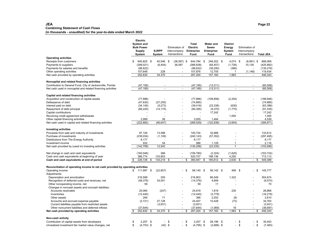#### **JEA Page 22 Combining Statement of Cash Flows (in thousands - unaudited) for the year-to-date ended March 2022**

|                                                                                                        | Electric<br>System and<br><b>Bulk Power</b><br>Supply<br>System | <b>SJRPP</b><br>System                | Elimination of<br>intercompany<br>transactions |                | Total<br>Electric<br>Enterprise<br>Fund | <b>Water and</b><br>Sewer<br>Enterprise<br>Fund |     | <b>District</b><br>Energy<br>System<br>Fund |     | Elimination of<br>intercompany<br>transactions | <b>Total JEA</b> |
|--------------------------------------------------------------------------------------------------------|-----------------------------------------------------------------|---------------------------------------|------------------------------------------------|----------------|-----------------------------------------|-------------------------------------------------|-----|---------------------------------------------|-----|------------------------------------------------|------------------|
| <b>Operating activities</b>                                                                            |                                                                 |                                       |                                                |                |                                         |                                                 |     |                                             |     |                                                |                  |
| Receipts from customers                                                                                | \$<br>640,825 \$                                                | 40,546 \$                             | $(36,587)$ \$                                  |                | 644,784 \$                              | 248,202 \$                                      |     | 4,074 \$                                    |     | $(8,991)$ \$                                   | 888.069          |
| Payments to suppliers                                                                                  | (399, 021)                                                      | (6, 404)                              | 36,587                                         |                | (368, 838)                              | (65, 457)                                       |     | (1,726)                                     |     | 10,139                                         | (425, 882)       |
| Payments for salaries and benefits                                                                     | (96, 622)                                                       |                                       |                                                |                | (96, 622)                               | (38, 290)                                       |     | (366)                                       |     |                                                | (135, 278)       |
| Other operating activities                                                                             | 107,648                                                         | 228                                   | $\blacksquare$                                 |                | 107,876                                 | 12,705                                          |     | 1                                           |     | (1, 148)                                       | 119,434          |
| Net cash provided by operating activities                                                              | 252,830                                                         | 34,370                                | $\overline{a}$                                 |                | 287,200                                 | 157,160                                         |     | 1,983                                       |     | $\blacksquare$                                 | 446,343          |
| Noncapital and related financing activities                                                            |                                                                 |                                       |                                                |                |                                         |                                                 |     |                                             |     |                                                |                  |
| Contribution to General Fund, City of Jacksonville, Florida                                            | (47, 195)                                                       |                                       | $\overline{\phantom{a}}$                       |                | (47, 195)                               | (13, 311)                                       |     |                                             |     | $\blacksquare$                                 | (60, 506)        |
| Net cash used in noncapital and related financing activities                                           | (47, 195)                                                       | $\blacksquare$                        | $\blacksquare$                                 |                | (47, 195)                               | (13, 311)                                       |     | $\overline{\phantom{a}}$                    |     | ÷.                                             | (60, 506)        |
| Capital and related financing activities                                                               |                                                                 |                                       |                                                |                |                                         |                                                 |     |                                             |     |                                                |                  |
| Acquisition and construction of capital assets                                                         | (77, 886)                                                       |                                       |                                                |                | (77, 886)                               | (108, 856)                                      |     | (2, 204)                                    |     |                                                | (188, 946)       |
| Defeasance of debt                                                                                     | (47, 630)                                                       | (27, 255)                             | $\overline{a}$                                 |                | (74, 885)                               |                                                 |     |                                             |     |                                                | (74, 885)        |
| Interest paid on debt                                                                                  | (34, 145)                                                       | (5, 273)                              | ÷,                                             |                | (39, 418)                               | (23, 338)                                       |     | (630)                                       |     |                                                | (63, 386)        |
| Repayment of debt principal                                                                            | (66, 220)                                                       | (14, 175)                             | $\overline{\phantom{a}}$                       |                | (80, 395)                               | (9,370)                                         |     | (1,770)                                     |     |                                                | (91, 535)        |
| Capital contributions                                                                                  |                                                                 |                                       |                                                |                |                                         | 17,242                                          |     |                                             |     | $\overline{a}$                                 | 17,242           |
| Revolving credit agreement withdrawals                                                                 |                                                                 |                                       |                                                |                |                                         |                                                 |     | 1,000                                       |     | $\overline{a}$                                 | 1.000            |
| Other capital financing activities                                                                     | 2,999                                                           | 56                                    | $\overline{\phantom{a}}$                       |                | 3,055                                   | 1,484                                           |     |                                             |     | $\overline{\phantom{a}}$                       | 4,539            |
| Net cash used in capital and related financing activities                                              | (222, 882)                                                      | (46, 647)                             | $\overline{\phantom{a}}$                       |                | (269, 529)                              | (122, 838)                                      |     | (3,604)                                     |     | $\overline{a}$                                 | (395, 971)       |
| <b>Investing activities</b>                                                                            |                                                                 |                                       |                                                |                |                                         |                                                 |     |                                             |     |                                                |                  |
| Proceeds from sale and maturity of investments                                                         | 87,126                                                          | 13.598                                |                                                |                | 100.724                                 | 32,888                                          |     |                                             |     |                                                | 133,612          |
| Purchase of investments                                                                                | (239, 034)                                                      | (1, 109)                              | $\overline{a}$                                 |                | (240, 143)                              | (57, 352)                                       |     |                                             |     |                                                | (297, 495)       |
| Distributions from The Energy Authority                                                                | 8,177                                                           |                                       | ÷,                                             |                | 8,177                                   |                                                 |     |                                             |     |                                                | 8,177            |
| Investment income                                                                                      | 932                                                             | 54                                    |                                                |                | 986                                     | 1,129                                           |     | 1                                           |     |                                                | 2,116            |
| Net cash provided by (used in) investing activities                                                    | (142, 799)                                                      | 12.543                                | $\overline{\phantom{a}}$                       |                | (130.256)                               | (23, 335)                                       |     | $\mathbf{1}$                                |     | $\mathbf{u}$                                   | (153, 590)       |
| Net change in cash and cash equivalents                                                                | (160, 046)                                                      | 266                                   | $\overline{a}$                                 |                | (159, 780)                              | (2, 324)                                        |     | (1,620)                                     |     | $\overline{a}$                                 | (163, 724)       |
| Cash and cash equivalents at beginning of year                                                         | 386,774                                                         | 133,953                               |                                                |                | 520,727                                 | 188,136                                         |     | 4,250                                       |     |                                                | 713,113          |
| Cash and cash equivalents at end of period                                                             | 226,728<br>\$                                                   | \$<br>134,219                         | \$<br>$\blacksquare$                           | \$             | 360,947                                 | 185,812<br>\$                                   | \$  | 2,630                                       | \$  | $\blacksquare$                                 | \$<br>549,389    |
| Reconciliation of operating income to net cash provided by operating activities                        |                                                                 |                                       |                                                |                |                                         |                                                 |     |                                             |     |                                                |                  |
| Operating income                                                                                       | 111,997 \$<br>\$                                                | (22, 857)                             |                                                | - \$           | 89,140 \$                               | 56,142 \$                                       |     | 495                                         | -\$ | - \$                                           | 145,777          |
| Adjustments:                                                                                           |                                                                 |                                       |                                                |                |                                         |                                                 |     |                                             |     |                                                |                  |
| Depreciation and amortization                                                                          | 216.598                                                         | 205                                   | $\overline{a}$                                 |                | 216.803                                 | 86.549                                          |     | 1,322                                       |     |                                                | 304.674          |
| Recognition of deferred costs and revenues, net                                                        | (48, 379)                                                       | 34,001                                | $\overline{\phantom{a}}$                       |                | (14, 378)                               | 4,808                                           |     |                                             |     | $\overline{\phantom{a}}$<br>$\overline{a}$     | (9,570)          |
| Other nonoperating income, net                                                                         | 59                                                              |                                       |                                                |                | 59                                      | 11                                              |     |                                             |     |                                                | 70               |
| Changes in noncash assets and noncash liabilities:<br>Accounts receivable                              | 25,065                                                          | (247)                                 | ÷,                                             |                | 24,818                                  | 1,818                                           |     | 230                                         |     |                                                | 26,866           |
| Inventories                                                                                            | (12, 440)                                                       |                                       | $\overline{a}$                                 |                | (12, 440)                               | (3,779)                                         |     |                                             |     |                                                | (16, 219)        |
| Other assets                                                                                           | 295                                                             | 71                                    |                                                |                | 366                                     | 2,252                                           |     | (8)                                         |     |                                                | 2,610            |
| Accounts and accrued expense payable                                                                   | (2, 721)                                                        | 27,128                                | $\overline{a}$                                 |                | 24,407                                  | 10,428                                          |     | (72)                                        |     | $\overline{a}$                                 | 34,763           |
| Current liabilities payable from restricted assets                                                     |                                                                 | (3,931)                               | $\qquad \qquad \blacksquare$                   |                | (3,931)                                 |                                                 |     | $\overline{a}$                              |     | ÷,                                             | (3,931)          |
| Other noncurrent liabilities and deferred inflows                                                      | (37, 644)                                                       |                                       |                                                |                | (37, 644)                               | (1,069)                                         |     | 16                                          |     |                                                | (38, 697)        |
| Net cash provided by operating activities                                                              | 252,830                                                         | \$<br>34,370                          | \$                                             | - \$           | 287,200                                 | 157,160<br>\$                                   | -\$ | 1,983                                       | \$  | - \$                                           | 446,343          |
|                                                                                                        |                                                                 |                                       |                                                |                |                                         |                                                 |     |                                             |     |                                                |                  |
| Non-cash activity                                                                                      | \$<br>2,257                                                     | \$                                    | \$<br>$\overline{\phantom{0}}$                 | $\mathfrak{s}$ | $2,257$ \$                              | 28,196                                          | \$  |                                             | \$  |                                                | \$<br>30,453     |
| Contribution of capital assets from developers<br>Unrealized investment fair market value changes, net | \$<br>$(4,753)$ \$                                              | $\overline{\phantom{a}}$<br>$(42)$ \$ | $\overline{\phantom{a}}$                       | \$             | $(4,795)$ \$                            | $(2,688)$ \$                                    |     | $\overline{a}$                              | \$  |                                                | \$<br>(7, 483)   |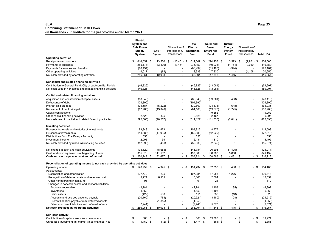#### **JEA Page 23 Combining Statement of Cash Flows (in thousands - unaudited) for the year-to-date ended March 2021**

|                                                                                 | Electric<br>System and<br><b>Bulk Power</b><br>Supply<br>System |                | <b>SJRPP</b><br>System   | Elimination of<br>intercompany<br>transactions |          | Total<br>Electric<br><b>Enterprise</b><br>Fund | <b>Water and</b><br>Sewer<br><b>Enterprise</b><br>Fund | <b>District</b><br>Energy<br>System<br><b>Fund</b> |                | Elimination of<br>intercompany<br>transactions | <b>Total JEA</b> |
|---------------------------------------------------------------------------------|-----------------------------------------------------------------|----------------|--------------------------|------------------------------------------------|----------|------------------------------------------------|--------------------------------------------------------|----------------------------------------------------|----------------|------------------------------------------------|------------------|
| <b>Operating activities</b>                                                     |                                                                 |                |                          |                                                |          |                                                |                                                        |                                                    |                |                                                |                  |
| Receipts from customers                                                         | \$                                                              | 614,552 \$     | 13,556                   | \$<br>$(13, 461)$ \$                           |          | 614,647 \$                                     | 224,457 \$                                             | $3,523$ \$                                         |                | $(7,961)$ \$                                   | 834,666          |
| Payments to suppliers                                                           | (285, 174)                                                      |                | (3,439)                  | 13,461                                         |          | (275, 152)                                     | (49, 033)                                              | (1,764)                                            |                | 9,069                                          | (316, 880)       |
| Payments for salaries and benefits                                              | (86, 434)                                                       |                |                          |                                                |          | (86, 434)                                      | (35, 406)                                              | (344)                                              |                |                                                | (122, 184)       |
| Other operating activities                                                      | 14,017                                                          |                | (84)                     |                                                |          | 13,933                                         | 7,830                                                  |                                                    |                | (1, 108)                                       | 20,655           |
| Net cash provided by operating activities                                       | 256,961                                                         |                | 10,033                   | $\overline{a}$                                 |          | 266,994                                        | 147,848                                                | 1,415                                              |                | $\mathbf{r}$                                   | 416,257          |
| Noncapital and related financing activities                                     |                                                                 |                |                          |                                                |          |                                                |                                                        |                                                    |                |                                                |                  |
| Contribution to General Fund, City of Jacksonville, Florida                     | (46, 826)                                                       |                |                          |                                                |          | (46, 826)                                      | (13,081)                                               |                                                    |                | $\blacksquare$                                 | (59, 907)        |
| Net cash used in noncapital and related financing activities                    | (46, 826)                                                       |                | $\overline{a}$           | $\overline{a}$                                 |          | (46, 826)                                      | (13,081)                                               |                                                    | $\overline{a}$ | $\overline{a}$                                 | (59, 907)        |
| Capital and related financing activities                                        |                                                                 |                |                          |                                                |          |                                                |                                                        |                                                    |                |                                                |                  |
| Acquisition and construction of capital assets                                  | (88, 646)                                                       |                |                          |                                                |          | (88, 646)                                      | (89,001)                                               | (468)                                              |                |                                                | (178, 115)       |
| Defeasance of debt                                                              | (104, 390)                                                      |                |                          |                                                |          | (104, 390)                                     |                                                        |                                                    |                |                                                | (104, 390)       |
| Interest paid on debt                                                           | (34, 587)                                                       |                | (5, 222)                 |                                                |          | (39, 809)                                      | (24, 478)                                              | (648)                                              |                |                                                | (64, 935)        |
| Repayment of debt principal                                                     | (67, 765)                                                       |                | (13, 340)                | $\overline{a}$                                 |          | (81, 105)                                      | (19, 870)                                              | (1,725)                                            |                | ÷,                                             | (102, 700)       |
| Capital contributions                                                           |                                                                 |                |                          |                                                |          |                                                | 19,252                                                 |                                                    |                | $\overline{a}$                                 | 19,252           |
| Other capital financing activities                                              |                                                                 | 2,523          | 305                      |                                                |          | 2,828                                          | 2,467                                                  |                                                    |                |                                                | 5,295            |
| Net cash used in capital and related financing activities                       | (292, 865)                                                      |                | (18, 257)                | $\overline{a}$                                 |          | (311, 122)                                     | (111, 630)                                             | (2,841)                                            |                | $\blacksquare$                                 | (425, 593)       |
| <b>Investing activities</b>                                                     |                                                                 |                |                          |                                                |          |                                                |                                                        |                                                    |                |                                                |                  |
| Proceeds from sale and maturity of investments                                  | 89.343                                                          |                | 14.473                   |                                                |          | 103.816                                        | 8.777                                                  |                                                    |                |                                                | 112.593          |
| Purchase of investments                                                         | (144, 388)                                                      |                | (14, 995)                |                                                |          | (159, 383)                                     | (12, 929)                                              |                                                    |                | $\overline{a}$                                 | (172, 312)       |
| Distributions from The Energy Authority                                         |                                                                 | 553            |                          | $\overline{\phantom{a}}$                       |          | 553                                            |                                                        |                                                    |                | ÷,                                             | 553              |
| Investment income                                                               |                                                                 | 2,093          | 91                       | $\overline{\phantom{a}}$                       |          | 2,184                                          | 1,310                                                  | 1                                                  |                | $\overline{a}$                                 | 3,495            |
| Net cash provided by (used in) investing activities                             | (52, 399)                                                       |                | (431)                    | $\overline{\phantom{a}}$                       |          | (52, 830)                                      | (2,842)                                                | 1                                                  |                | $\overline{\phantom{a}}$                       | (55, 671)        |
| Net change in cash and cash equivalents                                         | (135, 129)                                                      |                | (8,655)                  |                                                |          | (143, 784)                                     | 20,295                                                 | (1, 425)                                           |                | $\centerdot$                                   | (124, 914)       |
| Cash and cash equivalents at beginning of year                                  | 355,876                                                         |                | 141,132                  |                                                |          | 497,008                                        | 138,268                                                | 5,856                                              |                |                                                | 641,132          |
| Cash and cash equivalents at end of period                                      | \$<br>220,747                                                   | \$             | 132,477                  | \$<br>$\overline{\phantom{a}}$                 | \$       | 353,224                                        | 158,563<br>S                                           | \$<br>4,431                                        | \$             | $\blacksquare$<br>\$                           | 516,218          |
| Reconciliation of operating income to net cash provided by operating activities |                                                                 |                |                          |                                                |          |                                                |                                                        |                                                    |                |                                                |                  |
| Operating income<br>Adjustments:                                                | \$                                                              | 126.757 \$     | 4.975                    | -\$                                            | -\$      | 131.732 \$                                     | 52.353 \$                                              | 400                                                | \$             | \$                                             | 184,485          |
| Depreciation and amortization                                                   | 107,779                                                         |                | 205                      |                                                |          | 107,984                                        | 87,088                                                 | 1,276                                              |                |                                                | 196,348          |
| Recognition of deferred costs and revenues, net                                 |                                                                 | 3,221          | 6,939                    | $\overline{\phantom{a}}$                       |          | 10,160                                         | 2,394                                                  |                                                    |                |                                                | 12,554           |
| Other nonoperating income, net                                                  |                                                                 | 91             |                          |                                                |          | 91                                             | 21                                                     |                                                    |                |                                                | 112              |
| Changes in noncash assets and noncash liabilities:                              |                                                                 |                |                          |                                                |          |                                                |                                                        |                                                    |                |                                                |                  |
| Accounts receivable                                                             | 42,784                                                          |                |                          |                                                |          | 42,784                                         | 2,158                                                  | (135)                                              |                |                                                | 44,807           |
| Inventories                                                                     |                                                                 | 4,852          |                          | $\overline{a}$                                 |          | 4,852                                          | 1,108                                                  |                                                    |                | $\overline{\phantom{a}}$                       | 5,960            |
| Other assets                                                                    |                                                                 | (422)          | 533                      |                                                |          | 111                                            | 836                                                    | (18)                                               |                |                                                | 929              |
| Accounts and accrued expense payable                                            | (20, 160)                                                       |                | (764)                    |                                                |          | (20, 924)                                      | (3,480)                                                | (108)                                              |                | $\overline{a}$                                 | (24, 512)        |
| Current liabilities payable from restricted assets                              |                                                                 | $\overline{a}$ | (1, 855)                 | ÷,                                             |          | (1, 855)                                       |                                                        |                                                    | L,             | $\overline{a}$                                 | (1, 855)         |
| Other noncurrent liabilities and deferred inflows                               |                                                                 | (7, 941)       |                          | $\overline{\phantom{a}}$                       |          | (7, 941)                                       | 5,370                                                  |                                                    |                |                                                | (2,571)          |
| Net cash provided by operating activities                                       | 256,961                                                         | \$             | 10,033                   | \$                                             | - \$     | 266,994                                        | 147,848<br>-\$                                         | \$<br>1,415                                        | \$             | $\mathfrak{s}$<br>$\blacksquare$               | 416,257          |
| Non-cash activity                                                               |                                                                 |                |                          |                                                |          |                                                |                                                        |                                                    |                |                                                |                  |
| Contribution of capital assets from developers                                  | \$                                                              | 666<br>\$      | $\overline{\phantom{a}}$ | \$                                             | - \$     | 666                                            | 19.308<br>- \$                                         | - \$                                               | \$<br>÷.       | \$                                             | 19,974           |
| Unrealized investment fair market value changes, net                            | \$                                                              | $(1,462)$ \$   | $(12)$ \$                | $\overline{a}$                                 | <b>S</b> | $(1,474)$ \$                                   | $(881)$ \$                                             |                                                    | \$<br>$\sim$   | $\overline{a}$                                 | \$<br>(2, 355)   |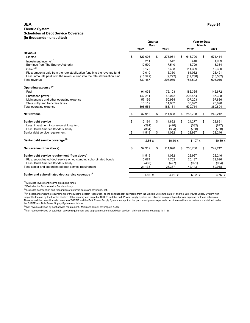|                                                                           | Quarter<br><b>March</b> |                | Year-to-Date<br><b>March</b> |               |    |           |  |
|---------------------------------------------------------------------------|-------------------------|----------------|------------------------------|---------------|----|-----------|--|
|                                                                           | 2022                    | 2021           |                              | 2022          |    | 2021      |  |
| <b>Revenue</b>                                                            |                         |                |                              |               |    |           |  |
| Electric                                                                  | \$<br>327,008           | \$<br>275,981  | \$                           | 615,700       | \$ | 571,414   |  |
| Investment income $(1)$                                                   | 211                     | 542            |                              | 410           |    | 1,099     |  |
| Earnings from The Energy Authority                                        | 12,590                  | 7,540          |                              | 15,729        |    | 8,364     |  |
| Other $(2)$                                                               | 6,170                   | 5,438          |                              | 111,389       |    | 12,300    |  |
| Plus: amounts paid from the rate stabilization fund into the revenue fund | 10,010                  | 15,350         |                              | 61,062        |    | 26,421    |  |
| Less: amounts paid from the revenue fund into the rate stabilization fund | (16, 522)               | (9,792)        |                              | (19, 788)     |    | (16, 582) |  |
| Total revenue                                                             | 339,467                 | 295,059        |                              | 784,502       |    | 603,016   |  |
| Operating expense <sup>(3)</sup>                                          |                         |                |                              |               |    |           |  |
| Fuel                                                                      | 91,033                  | 75,103         |                              | 186,365       |    | 146,672   |  |
| Purchased power <sup>(4)</sup>                                            | 142,211                 | 43.072         |                              | 206.454       |    | 87,398    |  |
| Maintenance and other operating expense                                   | 57,199                  | 50,984         |                              | 107.203       |    | 97,836    |  |
| State utility and franchise taxes                                         | 16,112                  | 14,002         |                              | 30.692        |    | 28,898    |  |
| Total operating expense                                                   | 306,555                 | 183,161        |                              | 530,714       |    | 360,804   |  |
| Net revenue                                                               | \$<br>32,912            | \$<br>111,898  | \$                           | 253,788       | \$ | 242,212   |  |
| Senior debt service                                                       | \$<br>12,194            | \$<br>11,892   | \$                           | 24,277        | \$ | 23,891    |  |
| Less: investment income on sinking fund                                   | (291)                   | (426)          |                              | (582)         |    | (877)     |  |
| Less: Build America Bonds subsidy                                         | (384)                   | (384)          |                              | (768)         |    | (768)     |  |
| Senior debt service requirement                                           | \$<br>11.519            | \$<br>11.082   | \$                           | 22,927        | \$ | 22,246    |  |
| Senior debt service coverage <sup>(5)</sup>                               | 2.86x                   | $10.10 \times$ |                              | 11.07 x       |    | 10.89 x   |  |
| Net revenue (from above)                                                  | \$<br>32,912            | \$<br>111,898  | \$                           | 253,788       | \$ | 242,212   |  |
| Senior debt service requirement (from above)                              | 11,519                  | 11,082         |                              | 22,927        |    | 22,246    |  |
| Plus: subordinated debt service on outstanding subordinated bonds         | 10,074                  | 14,752         |                              | 20,137        |    | 29,626    |  |
| Less: Build America Bonds subsidy                                         | (460)                   | (477)          |                              | (921)         |    | (954)     |  |
| Total senior and subordinated debt service requirement                    | 21,133                  | 25.357         |                              | 42,143        |    | 50.918    |  |
| Senior and subordinated debt service coverage (6)                         | 1.56x                   | $4.41 \times$  |                              | $6.02 \times$ |    | 4.76 x    |  |

 $(1)$  Excludes investment income on sinking funds.

 $(2)$  Excludes the Build America Bonds subsidy.

 $(3)$  Excludes depreciation and recognition of deferred costs and revenues, net.

<sup>(4)</sup> In accordance with the requirements of the Electric System Resolution, all the contract debt payments from the Electric System to SJRPP and the Bulk Power Supply System with respect to the use by the Electric System of the capacity and output of SJRPP and the Bulk Power Supply System are reflected as a purchased power expense on these schedules. These schedules do not include revenue of SJRPP and the Bulk Power Supply System, except that the purchased power expense is net of interest income on funds maintained under the SJRPP and Bulk Power Supply System resolutions.

 $<sup>(5)</sup>$  Net revenue divided by debt service requirement. Minimum annual coverage is 1.20x.</sup>

(6) Net revenue divided by total debt service requirement and aggregate subordinated debt service. Minimum annual coverage is 1.15x.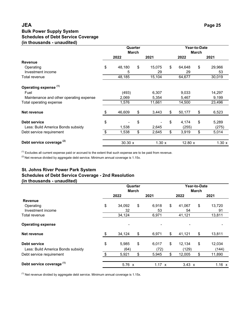## **JEA Bulk Power Supply System Schedules of Debt Service Coverage (in thousands - unaudited)**

|                                         | Quarter |         |              |        |    | Year-to-Date |              |        |
|-----------------------------------------|---------|---------|--------------|--------|----|--------------|--------------|--------|
|                                         |         |         | <b>March</b> |        |    |              | <b>March</b> |        |
|                                         |         | 2022    |              | 2021   |    | 2022         |              | 2021   |
| <b>Revenue</b>                          |         |         |              |        |    |              |              |        |
| Operating                               | \$      | 48,180  | \$           | 15,075 | \$ | 64,648       | \$           | 29,966 |
| Investment income                       |         | 5       |              | 29     |    | 29           |              | 53     |
| Total revenue                           |         | 48,185  |              | 15,104 |    | 64,677       |              | 30,019 |
| Operating expense <sup>(1)</sup>        |         |         |              |        |    |              |              |        |
| Fuel                                    |         | (493)   |              | 6,307  |    | 9,033        |              | 14,297 |
| Maintenance and other operating expense |         | 2,069   |              | 5,354  |    | 5,467        |              | 9,199  |
| Total operating expense                 |         | 1,576   |              | 11,661 |    | 14,500       |              | 23,496 |
| Net revenue                             | \$      | 46,609  | \$           | 3,443  | \$ | 50,177       | \$           | 6,523  |
| Debt service                            | \$      |         | \$           |        | \$ | 4,174        | \$           | 5,289  |
| Less: Build America Bonds subsidy       |         | 1,538   |              | 2,645  |    | (255)        |              | (275)  |
| Debt service requirement                | \$      | 1,538   | \$           | 2,645  | \$ | 3,919        | \$           | 5,014  |
| Debt service coverage <sup>(2)</sup>    |         | 30.30 x |              | 1.30x  |    | 12.80 x      |              | 1.30x  |

 $(1)$  Excludes all current expense paid or accrued to the extent that such expense are to be paid from revenue.

 $(2)$  Net revenue divided by aggregate debt service. Minimum annual coverage is 1.15x.

## **St. Johns River Power Park System Schedules of Debt Service Coverage - 2nd Resolution (in thousands - unaudited)**

|                                   | Quarter<br><b>March</b>        |              |    |             |               | Year-to-Date<br><b>March</b> |    |               |  |  |  |
|-----------------------------------|--------------------------------|--------------|----|-------------|---------------|------------------------------|----|---------------|--|--|--|
|                                   |                                | 2022         |    | 2021        |               | 2022                         |    | 2021          |  |  |  |
| <b>Revenue</b>                    |                                |              |    |             |               |                              |    |               |  |  |  |
| Operating<br>Investment income    | \$                             | 34,092<br>32 | \$ | 6,918<br>53 | \$            | 41,067<br>54                 | \$ | 13,720<br>91  |  |  |  |
| Total revenue                     |                                | 34,124       |    | 6,971       |               | 41,121                       |    | 13,811        |  |  |  |
| <b>Operating expense</b>          |                                |              |    |             |               |                              |    |               |  |  |  |
| Net revenue                       | \$                             | 34,124       | \$ | 6,971       | \$            | 41,121                       | \$ | 13,811        |  |  |  |
| Debt service                      | \$                             | 5,985        | \$ | 6,017       | \$            | 12,134                       | \$ | 12,034        |  |  |  |
| Less: Build America Bonds subsidy |                                | (64)         |    | (72)        |               | (129)                        |    | (144)         |  |  |  |
| Debt service requirement          | \$                             | 5,921        | \$ | 5,945       | \$            | 12,005                       | \$ | 11,890        |  |  |  |
| Debt service coverage (1)         | $5.76 \times$<br>$1.17 \times$ |              |    |             | $3.43 \times$ |                              |    | $1.16 \times$ |  |  |  |

 $(1)$  Net revenue divided by aggregate debt service. Minimum annual coverage is 1.15x.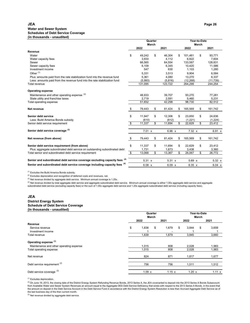#### **JEA Water and Sewer System (in thousands - unaudited) Schedules of Debt Service Coverage**

|                                                                            |                 | Quarter      |               | Year-to-Date |                 |       |                  |  |  |  |
|----------------------------------------------------------------------------|-----------------|--------------|---------------|--------------|-----------------|-------|------------------|--|--|--|
|                                                                            |                 | <b>March</b> |               |              |                 | March |                  |  |  |  |
|                                                                            | 2022            |              | 2021          |              | 2022            |       | 2021             |  |  |  |
| Revenue<br>Water                                                           | \$<br>49.242    | \$           | 46.304        | \$           | 101.461         | \$    |                  |  |  |  |
|                                                                            |                 |              | 4.112         |              | 6.822           |       | 93,771           |  |  |  |
| Water capacity fees<br>Sewer                                               | 3,933<br>66,565 |              | 64,554        |              | 133,587         |       | 7,604<br>128,831 |  |  |  |
|                                                                            |                 |              |               |              |                 |       |                  |  |  |  |
| Sewer capacity fees<br>Investment income                                   | 6,109<br>547    |              | 6,345<br>630  |              | 10,420<br>1,103 |       | 11,586<br>1,280  |  |  |  |
|                                                                            |                 |              |               |              |                 |       |                  |  |  |  |
| Other <sup>(1)</sup>                                                       | 5,331           |              | 3,513         |              | 9.904           |       | 6,584            |  |  |  |
| Plus: amounts paid from the rate stabilization fund into the revenue fund  | 5,361           |              | 4,080         |              | 13,270          |       | 6,337            |  |  |  |
| Less: amounts paid from the revenue fund into the rate stabilization fund  | (5,993)         |              | (5,816)       |              | (12, 268)       |       | (11, 739)        |  |  |  |
| Total revenue                                                              | 131,095         |              | 123,722       |              | 264,299         |       | 244,254          |  |  |  |
| <b>Operating expense</b>                                                   |                 |              |               |              |                 |       |                  |  |  |  |
| Maintenance and other operating expense (2)                                | 48,933          |              | 39,707        |              | 93,270          |       | 77,281           |  |  |  |
| State utility and franchise taxes                                          | 2,719           |              | 2,591         |              | 5,460           |       | 5,231            |  |  |  |
| Total operating expense                                                    | 51,652          |              | 42,298        |              | 98,730          |       | 82,512           |  |  |  |
| Net revenue                                                                | \$<br>79,443    | \$           | 81,424        | \$           | 165,569         | \$    | 161,742          |  |  |  |
| Senior debt service                                                        | \$<br>11.947    | \$           | 12.306        | \$           | 23.850          | \$    | 24,636           |  |  |  |
| Less: Build America Bonds subsidy                                          | (610)           |              | (612)         |              | (1, 221)        |       | (1,224)          |  |  |  |
| Senior debt service requirement                                            | \$<br>11,337    | \$           | 11,694        | \$           | 22,629          | \$    | 23,412           |  |  |  |
| Senior debt service coverage (3)                                           | 7.01 x          |              | 6.96 x        |              | $7.32 \times$   |       | 6.91 x           |  |  |  |
|                                                                            |                 |              |               |              |                 |       |                  |  |  |  |
| Net revenue (from above)                                                   | \$<br>79,443    | \$           | 81,424        | \$           | 165,569         | \$    | 161,742          |  |  |  |
| Senior debt service requirement (from above)                               | \$<br>11,337    | \$           | 11.694        | \$           | 22,629          | \$    | 23,412           |  |  |  |
| Plus: aggregate subordinated debt service on outstanding subordinated debt | 1,731           |              | 1,673         |              | 3,438           |       | 3,360            |  |  |  |
| Total senior and subordinated debt service requirement                     | \$<br>13,068    | \$           | 13,367        | \$           | 26,067          | \$    | 26,772           |  |  |  |
| Senior and subordinated debt service coverage excluding capacity fees (4)  | $5.31 \times$   |              | $5.31 \times$ |              | $5.69 \times$   |       | $5.32 \times$    |  |  |  |
| Senior and subordinated debt service coverage including capacity fees (4)  | $6.08 \times$   |              | 6.09 x        |              | 6.35 x          |       | $6.04 \times$    |  |  |  |

(1) Excludes the Build America Bonds subsidy.

<sup>(2)</sup> Excludes depreciation and recognition of deferred costs and revenues, net.

(3) Net revenue divided by aggregate debt service. Minimum annual coverage is 1.25x.

(4) Net revenue divided by total aggregate debt service and aggregate subordinated debt service. Minimum annual coverage is either 1.00x aggregate debt service and aggregate subordinated debt service (excluding capacity fees) or the sum of 1.00x aggregate debt service and 1.20x aggregate subordinated debt service (including capacity fees).

#### **JEA District Energy System (in thousands - unaudited) Schedule of Debt Service Coverage**

|                                         | Quarter<br>March |    | Year-to-Date<br>March |    |       |    |        |
|-----------------------------------------|------------------|----|-----------------------|----|-------|----|--------|
|                                         | 2022             |    | 2021                  |    | 2022  |    | 2021   |
| Revenue                                 |                  |    |                       |    |       |    |        |
| Service revenue                         | \$<br>1,838      | \$ | 1,679                 | \$ | 3,844 | \$ | 3,659  |
| Investment income                       |                  |    |                       |    |       |    |        |
| Total revenue                           | 1,839            |    | 1,679                 |    | 3,845 |    | 3,660  |
| Operating expense <sup>(1)</sup>        |                  |    |                       |    |       |    |        |
| Maintenance and other operating expense | 1,015            |    | 808                   |    | 2,028 |    | 1,983  |
| Total operating expense                 | 1,015            |    | 808                   |    | 2,028 |    | 1,983  |
| Net revenue                             | 824              |    | 871                   |    | 1,817 |    | 1,677  |
| Debt service requirement <sup>(2)</sup> | 756              |    | 756                   |    | 1,511 |    | 1,512  |
| Debt service coverage (3)               | 1.09x            |    | 1.15x                 |    | 1.20x |    | 1.11 x |

(1) Excludes depreciation.

<sup>(2)</sup> On June 19, 2013, the closing date of the District Energy System Refunding Revenue Bonds, 2013 Series A, the JEA covenanted to deposit into the 2013 Series A Bonds Subaccount<br>from Available Water and Sewer System Rev the last business day of the then current month.

 $^{(3)}$  Net revenue divided by aggregate debt service.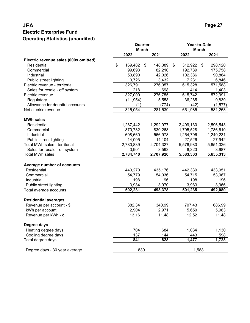# **JEA Page 27 Electric Enterprise Fund Operating Statistics (unaudited)**

|                                       | Quarter       |              |           | Year-to-Date |              |           |           |  |
|---------------------------------------|---------------|--------------|-----------|--------------|--------------|-----------|-----------|--|
|                                       |               | <b>March</b> |           |              | <b>March</b> |           |           |  |
|                                       | 2022          |              | 2021      |              | 2022         |           | 2021      |  |
| Electric revenue sales (000s omitted) |               |              |           |              |              |           |           |  |
| Residential                           | \$<br>169,482 | \$           | 148,389   | \$           | 312,922      | \$        | 298,120   |  |
| Commercial                            | 99,693        |              | 82,210    |              | 192,789      |           | 175,758   |  |
| Industrial                            | 53,890        |              | 42,026    |              | 102,386      |           | 90,864    |  |
| Public street lighting                | 3,726         |              | 3,432     |              | 7,231        |           | 6,846     |  |
| Electric revenue - territorial        | 326,791       |              | 276,057   |              | 615,328      |           | 571,588   |  |
| Sales for resale - off system         | 218           |              | 698       |              | 414          |           | 1,403     |  |
| Electric revenue                      | 327,009       |              | 276,755   |              | 615,742      |           | 572,991   |  |
| Regulatory                            | (11, 954)     |              | 5,558     |              | 36,285       |           | 9,839     |  |
| Allowance for doubtful accounts       | (1)           |              | (774)     |              | (42)         |           | (1, 577)  |  |
| Net electric revenue                  | 315,054       |              | 281,539   |              | 651,985      |           | 581,253   |  |
| <b>MWh sales</b>                      |               |              |           |              |              |           |           |  |
| Residential                           | 1,287,442     |              | 1,292,977 |              | 2,499,130    |           | 2,596,543 |  |
| Commercial                            | 870,732       |              | 830,268   |              | 1,795,528    |           | 1,786,610 |  |
| Industrial                            | 608,660       |              | 566,978   |              | 1,254,796    |           | 1,240,231 |  |
| Public street lighting                | 14,005        |              | 14,104    |              | 27,526       |           | 27,942    |  |
| Total MWh sales - territorial         | 2,780,839     |              | 2,704,327 |              | 5,576,980    |           | 5,651,326 |  |
| Sales for resale - off system         | 3,901         |              | 3,593     |              | 6,323        |           | 3,987     |  |
| Total MWh sales                       | 2,784,740     | 2,707,920    |           | 5,583,303    |              | 5,655,313 |           |  |
|                                       |               |              |           |              |              |           |           |  |
| Average number of accounts            |               |              |           |              |              |           |           |  |
| Residential                           | 443,270       |              | 435,176   |              | 442,339      |           | 433,951   |  |
| Commercial                            | 54,779        |              | 54,036    |              | 54,715       |           | 53,967    |  |
| Industrial                            | 198           |              | 196       |              | 198          |           | 196       |  |
| Public street lighting                | 3,984         |              | 3,970     |              | 3,983        |           | 3,966     |  |
| Total average accounts                | 502,231       |              | 493,378   |              | 501,235      |           | 492,080   |  |
|                                       |               |              |           |              |              |           |           |  |
| <b>Residential averages</b>           |               |              |           |              |              |           |           |  |
| Revenue per account - \$              | 382.34        |              | 340.99    |              | 707.43       |           | 686.99    |  |
| kWh per account                       | 2,904         |              | 2,971     |              | 5,650        |           | 5,983     |  |
| Revenue per kWh - $\phi$              | 13.16         |              | 11.48     |              | 12.52        |           | 11.48     |  |
| Degree days                           |               |              |           |              |              |           |           |  |
| Heating degree days                   | 704           |              | 684       |              | 1,034        |           | 1,130     |  |
| Cooling degree days                   | 137           |              | 144       |              | 443          |           | 598       |  |
| Total degree days                     | 841           |              | 828       |              | 1,477        |           | 1,728     |  |
| Degree days - 30 year average         | 830           |              |           | 1,588        |              |           |           |  |